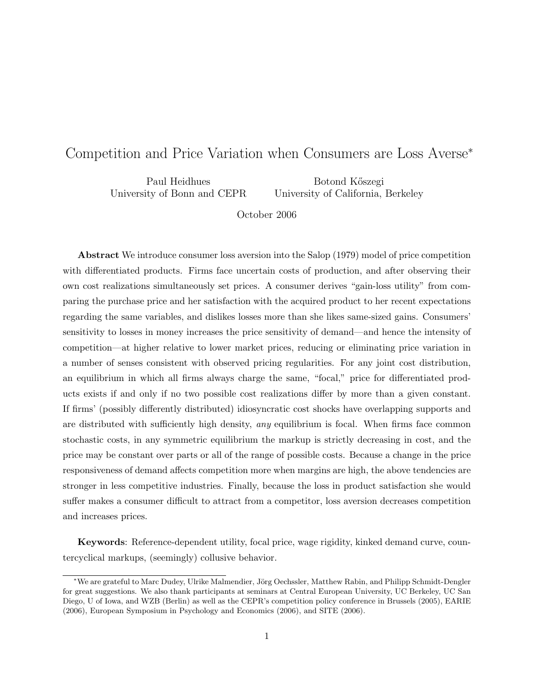# Competition and Price Variation when Consumers are Loss Averse<sup>∗</sup>

Paul Heidhues University of Bonn and CEPR

Botond K˝oszegi University of California, Berkeley

October 2006

Abstract We introduce consumer loss aversion into the Salop (1979) model of price competition with differentiated products. Firms face uncertain costs of production, and after observing their own cost realizations simultaneously set prices. A consumer derives "gain-loss utility" from comparing the purchase price and her satisfaction with the acquired product to her recent expectations regarding the same variables, and dislikes losses more than she likes same-sized gains. Consumers' sensitivity to losses in money increases the price sensitivity of demand—and hence the intensity of competition—at higher relative to lower market prices, reducing or eliminating price variation in a number of senses consistent with observed pricing regularities. For any joint cost distribution, an equilibrium in which all firms always charge the same, "focal," price for differentiated products exists if and only if no two possible cost realizations differ by more than a given constant. If firms' (possibly differently distributed) idiosyncratic cost shocks have overlapping supports and are distributed with sufficiently high density, *any* equilibrium is focal. When firms face common stochastic costs, in any symmetric equilibrium the markup is strictly decreasing in cost, and the price may be constant over parts or all of the range of possible costs. Because a change in the price responsiveness of demand affects competition more when margins are high, the above tendencies are stronger in less competitive industries. Finally, because the loss in product satisfaction she would suffer makes a consumer difficult to attract from a competitor, loss aversion decreases competition and increases prices.

Keywords: Reference-dependent utility, focal price, wage rigidity, kinked demand curve, countercyclical markups, (seemingly) collusive behavior.

<sup>∗</sup>We are grateful to Marc Dudey, Ulrike Malmendier, J¨org Oechssler, Matthew Rabin, and Philipp Schmidt-Dengler for great suggestions. We also thank participants at seminars at Central European University, UC Berkeley, UC San Diego, U of Iowa, and WZB (Berlin) as well as the CEPR's competition policy conference in Brussels (2005), EARIE (2006), European Symposium in Psychology and Economics (2006), and SITE (2006).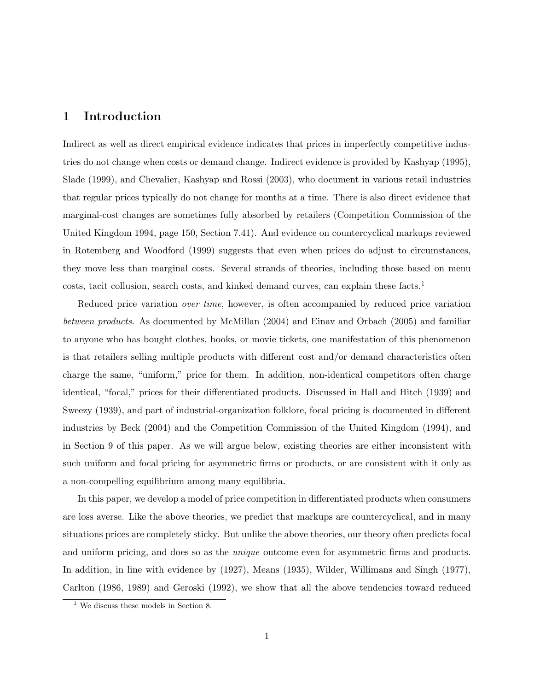## 1 Introduction

Indirect as well as direct empirical evidence indicates that prices in imperfectly competitive industries do not change when costs or demand change. Indirect evidence is provided by Kashyap (1995), Slade (1999), and Chevalier, Kashyap and Rossi (2003), who document in various retail industries that regular prices typically do not change for months at a time. There is also direct evidence that marginal-cost changes are sometimes fully absorbed by retailers (Competition Commission of the United Kingdom 1994, page 150, Section 7.41). And evidence on countercyclical markups reviewed in Rotemberg and Woodford (1999) suggests that even when prices do adjust to circumstances, they move less than marginal costs. Several strands of theories, including those based on menu costs, tacit collusion, search costs, and kinked demand curves, can explain these  $facts<sup>1</sup>$ 

Reduced price variation *over time*, however, is often accompanied by reduced price variation between products. As documented by McMillan (2004) and Einav and Orbach (2005) and familiar to anyone who has bought clothes, books, or movie tickets, one manifestation of this phenomenon is that retailers selling multiple products with different cost and/or demand characteristics often charge the same, "uniform," price for them. In addition, non-identical competitors often charge identical, "focal," prices for their differentiated products. Discussed in Hall and Hitch (1939) and Sweezy (1939), and part of industrial-organization folklore, focal pricing is documented in different industries by Beck (2004) and the Competition Commission of the United Kingdom (1994), and in Section 9 of this paper. As we will argue below, existing theories are either inconsistent with such uniform and focal pricing for asymmetric firms or products, or are consistent with it only as a non-compelling equilibrium among many equilibria.

In this paper, we develop a model of price competition in differentiated products when consumers are loss averse. Like the above theories, we predict that markups are countercyclical, and in many situations prices are completely sticky. But unlike the above theories, our theory often predicts focal and uniform pricing, and does so as the *unique* outcome even for asymmetric firms and products. In addition, in line with evidence by (1927), Means (1935), Wilder, Willimans and Singh (1977), Carlton (1986, 1989) and Geroski (1992), we show that all the above tendencies toward reduced

<sup>1</sup> We discuss these models in Section 8.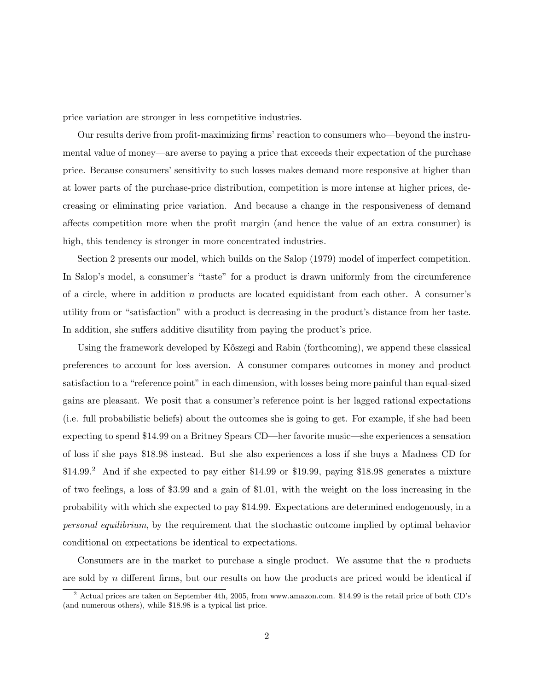price variation are stronger in less competitive industries.

Our results derive from profit-maximizing firms' reaction to consumers who—beyond the instrumental value of money—are averse to paying a price that exceeds their expectation of the purchase price. Because consumers' sensitivity to such losses makes demand more responsive at higher than at lower parts of the purchase-price distribution, competition is more intense at higher prices, decreasing or eliminating price variation. And because a change in the responsiveness of demand affects competition more when the profit margin (and hence the value of an extra consumer) is high, this tendency is stronger in more concentrated industries.

Section 2 presents our model, which builds on the Salop (1979) model of imperfect competition. In Salop's model, a consumer's "taste" for a product is drawn uniformly from the circumference of a circle, where in addition n products are located equidistant from each other. A consumer's utility from or "satisfaction" with a product is decreasing in the product's distance from her taste. In addition, she suffers additive disutility from paying the product's price.

Using the framework developed by Kőszegi and Rabin (forthcoming), we append these classical preferences to account for loss aversion. A consumer compares outcomes in money and product satisfaction to a "reference point" in each dimension, with losses being more painful than equal-sized gains are pleasant. We posit that a consumer's reference point is her lagged rational expectations (i.e. full probabilistic beliefs) about the outcomes she is going to get. For example, if she had been expecting to spend \$14.99 on a Britney Spears CD—her favorite music—she experiences a sensation of loss if she pays \$18.98 instead. But she also experiences a loss if she buys a Madness CD for \$14.99.<sup>2</sup> And if she expected to pay either \$14.99 or \$19.99, paying \$18.98 generates a mixture of two feelings, a loss of \$3.99 and a gain of \$1.01, with the weight on the loss increasing in the probability with which she expected to pay \$14.99. Expectations are determined endogenously, in a personal equilibrium, by the requirement that the stochastic outcome implied by optimal behavior conditional on expectations be identical to expectations.

Consumers are in the market to purchase a single product. We assume that the  $n$  products are sold by n different firms, but our results on how the products are priced would be identical if

<sup>2</sup> Actual prices are taken on September 4th, 2005, from www.amazon.com. \$14.99 is the retail price of both CD's (and numerous others), while \$18.98 is a typical list price.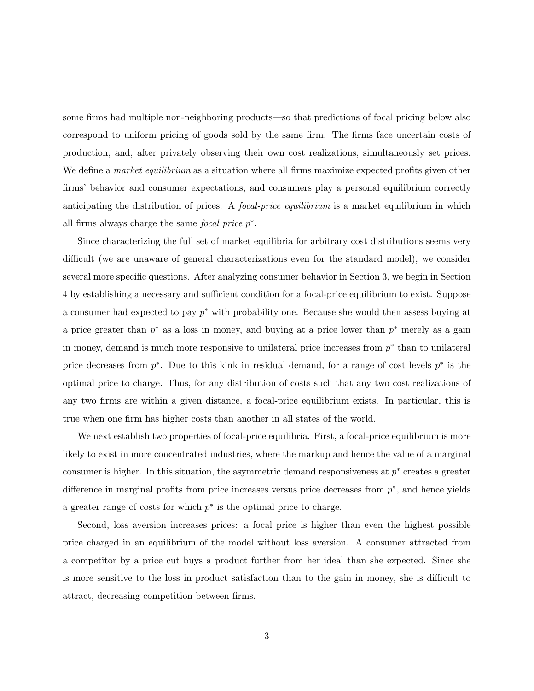some firms had multiple non-neighboring products—so that predictions of focal pricing below also correspond to uniform pricing of goods sold by the same firm. The firms face uncertain costs of production, and, after privately observing their own cost realizations, simultaneously set prices. We define a *market equilibrium* as a situation where all firms maximize expected profits given other firms' behavior and consumer expectations, and consumers play a personal equilibrium correctly anticipating the distribution of prices. A *focal-price equilibrium* is a market equilibrium in which all firms always charge the same *focal price*  $p^*$ .

Since characterizing the full set of market equilibria for arbitrary cost distributions seems very difficult (we are unaware of general characterizations even for the standard model), we consider several more specific questions. After analyzing consumer behavior in Section 3, we begin in Section 4 by establishing a necessary and sufficient condition for a focal-price equilibrium to exist. Suppose a consumer had expected to pay  $p^*$  with probability one. Because she would then assess buying at a price greater than  $p^*$  as a loss in money, and buying at a price lower than  $p^*$  merely as a gain in money, demand is much more responsive to unilateral price increases from  $p^*$  than to unilateral price decreases from  $p^*$ . Due to this kink in residual demand, for a range of cost levels  $p^*$  is the optimal price to charge. Thus, for any distribution of costs such that any two cost realizations of any two firms are within a given distance, a focal-price equilibrium exists. In particular, this is true when one firm has higher costs than another in all states of the world.

We next establish two properties of focal-price equilibria. First, a focal-price equilibrium is more likely to exist in more concentrated industries, where the markup and hence the value of a marginal consumer is higher. In this situation, the asymmetric demand responsiveness at  $p^*$  creates a greater difference in marginal profits from price increases versus price decreases from  $p^*$ , and hence yields a greater range of costs for which  $p^*$  is the optimal price to charge.

Second, loss aversion increases prices: a focal price is higher than even the highest possible price charged in an equilibrium of the model without loss aversion. A consumer attracted from a competitor by a price cut buys a product further from her ideal than she expected. Since she is more sensitive to the loss in product satisfaction than to the gain in money, she is difficult to attract, decreasing competition between firms.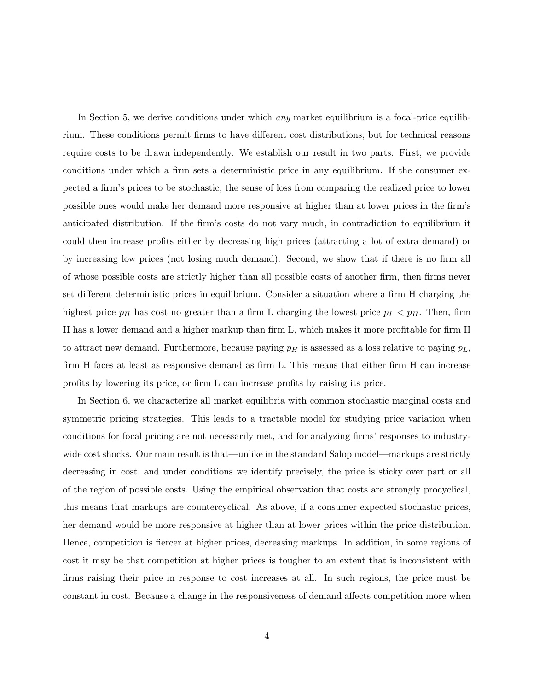In Section 5, we derive conditions under which *any* market equilibrium is a focal-price equilibrium. These conditions permit firms to have different cost distributions, but for technical reasons require costs to be drawn independently. We establish our result in two parts. First, we provide conditions under which a firm sets a deterministic price in any equilibrium. If the consumer expected a firm's prices to be stochastic, the sense of loss from comparing the realized price to lower possible ones would make her demand more responsive at higher than at lower prices in the firm's anticipated distribution. If the firm's costs do not vary much, in contradiction to equilibrium it could then increase profits either by decreasing high prices (attracting a lot of extra demand) or by increasing low prices (not losing much demand). Second, we show that if there is no firm all of whose possible costs are strictly higher than all possible costs of another firm, then firms never set different deterministic prices in equilibrium. Consider a situation where a firm H charging the highest price  $p_H$  has cost no greater than a firm L charging the lowest price  $p_L < p_H$ . Then, firm H has a lower demand and a higher markup than firm L, which makes it more profitable for firm H to attract new demand. Furthermore, because paying  $p_H$  is assessed as a loss relative to paying  $p_L$ , firm H faces at least as responsive demand as firm L. This means that either firm H can increase profits by lowering its price, or firm L can increase profits by raising its price.

In Section 6, we characterize all market equilibria with common stochastic marginal costs and symmetric pricing strategies. This leads to a tractable model for studying price variation when conditions for focal pricing are not necessarily met, and for analyzing firms' responses to industrywide cost shocks. Our main result is that—unlike in the standard Salop model—markups are strictly decreasing in cost, and under conditions we identify precisely, the price is sticky over part or all of the region of possible costs. Using the empirical observation that costs are strongly procyclical, this means that markups are countercyclical. As above, if a consumer expected stochastic prices, her demand would be more responsive at higher than at lower prices within the price distribution. Hence, competition is fiercer at higher prices, decreasing markups. In addition, in some regions of cost it may be that competition at higher prices is tougher to an extent that is inconsistent with firms raising their price in response to cost increases at all. In such regions, the price must be constant in cost. Because a change in the responsiveness of demand affects competition more when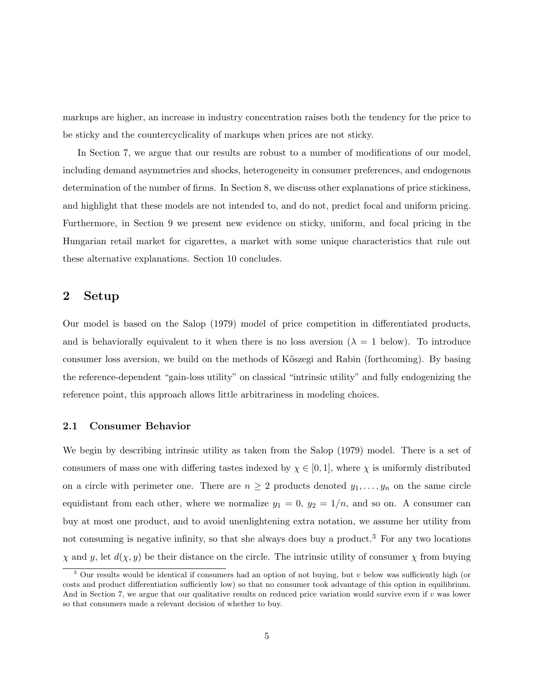markups are higher, an increase in industry concentration raises both the tendency for the price to be sticky and the countercyclicality of markups when prices are not sticky.

In Section 7, we argue that our results are robust to a number of modifications of our model, including demand asymmetries and shocks, heterogeneity in consumer preferences, and endogenous determination of the number of firms. In Section 8, we discuss other explanations of price stickiness, and highlight that these models are not intended to, and do not, predict focal and uniform pricing. Furthermore, in Section 9 we present new evidence on sticky, uniform, and focal pricing in the Hungarian retail market for cigarettes, a market with some unique characteristics that rule out these alternative explanations. Section 10 concludes.

#### 2 Setup

Our model is based on the Salop (1979) model of price competition in differentiated products, and is behaviorally equivalent to it when there is no loss aversion ( $\lambda = 1$  below). To introduce consumer loss aversion, we build on the methods of Kőszegi and Rabin (forthcoming). By basing the reference-dependent "gain-loss utility" on classical "intrinsic utility" and fully endogenizing the reference point, this approach allows little arbitrariness in modeling choices.

#### 2.1 Consumer Behavior

We begin by describing intrinsic utility as taken from the Salop (1979) model. There is a set of consumers of mass one with differing tastes indexed by  $\chi \in [0,1]$ , where  $\chi$  is uniformly distributed on a circle with perimeter one. There are  $n \geq 2$  products denoted  $y_1, \ldots, y_n$  on the same circle equidistant from each other, where we normalize  $y_1 = 0$ ,  $y_2 = 1/n$ , and so on. A consumer can buy at most one product, and to avoid unenlightening extra notation, we assume her utility from not consuming is negative infinity, so that she always does buy a product.<sup>3</sup> For any two locations  $\chi$  and y, let  $d(\chi, y)$  be their distance on the circle. The intrinsic utility of consumer  $\chi$  from buying

 $3$  Our results would be identical if consumers had an option of not buying, but v below was sufficiently high (or costs and product differentiation sufficiently low) so that no consumer took advantage of this option in equilibrium. And in Section 7, we argue that our qualitative results on reduced price variation would survive even if v was lower so that consumers made a relevant decision of whether to buy.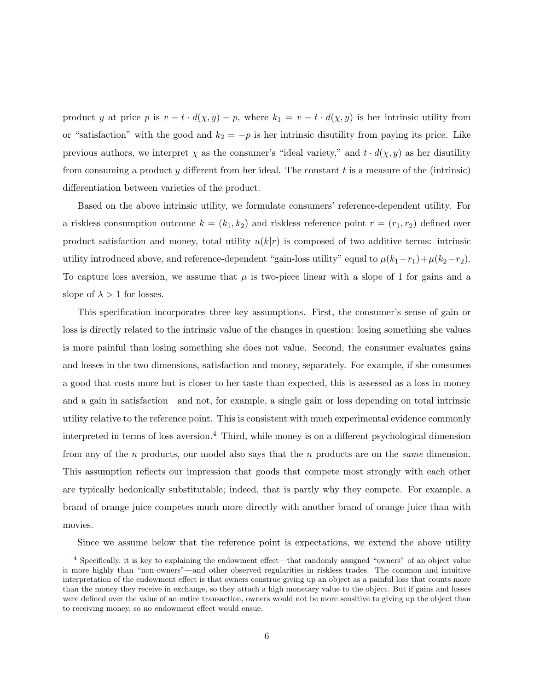product y at price p is  $v - t \cdot d(\chi, y) - p$ , where  $k_1 = v - t \cdot d(\chi, y)$  is her intrinsic utility from or "satisfaction" with the good and  $k_2 = -p$  is her intrinsic disutility from paying its price. Like previous authors, we interpret  $\chi$  as the consumer's "ideal variety," and  $t \cdot d(\chi, y)$  as her disutility from consuming a product y different from her ideal. The constant  $t$  is a measure of the (intrinsic) differentiation between varieties of the product.

Based on the above intrinsic utility, we formulate consumers' reference-dependent utility. For a riskless consumption outcome  $k = (k_1, k_2)$  and riskless reference point  $r = (r_1, r_2)$  defined over product satisfaction and money, total utility  $u(k|r)$  is composed of two additive terms: intrinsic utility introduced above, and reference-dependent "gain-loss utility" equal to  $\mu(k_1-r_1)+\mu(k_2-r_2)$ . To capture loss aversion, we assume that  $\mu$  is two-piece linear with a slope of 1 for gains and a slope of  $\lambda > 1$  for losses.

This specification incorporates three key assumptions. First, the consumer's sense of gain or loss is directly related to the intrinsic value of the changes in question: losing something she values is more painful than losing something she does not value. Second, the consumer evaluates gains and losses in the two dimensions, satisfaction and money, separately. For example, if she consumes a good that costs more but is closer to her taste than expected, this is assessed as a loss in money and a gain in satisfaction—and not, for example, a single gain or loss depending on total intrinsic utility relative to the reference point. This is consistent with much experimental evidence commonly interpreted in terms of loss aversion.<sup>4</sup> Third, while money is on a different psychological dimension from any of the n products, our model also says that the n products are on the same dimension. This assumption reflects our impression that goods that compete most strongly with each other are typically hedonically substitutable; indeed, that is partly why they compete. For example, a brand of orange juice competes much more directly with another brand of orange juice than with movies.

Since we assume below that the reference point is expectations, we extend the above utility

<sup>4</sup> Specifically, it is key to explaining the endowment effect—that randomly assigned "owners" of an object value it more highly than "non-owners"—and other observed regularities in riskless trades. The common and intuitive interpretation of the endowment effect is that owners construe giving up an object as a painful loss that counts more than the money they receive in exchange, so they attach a high monetary value to the object. But if gains and losses were defined over the value of an entire transaction, owners would not be more sensitive to giving up the object than to receiving money, so no endowment effect would ensue.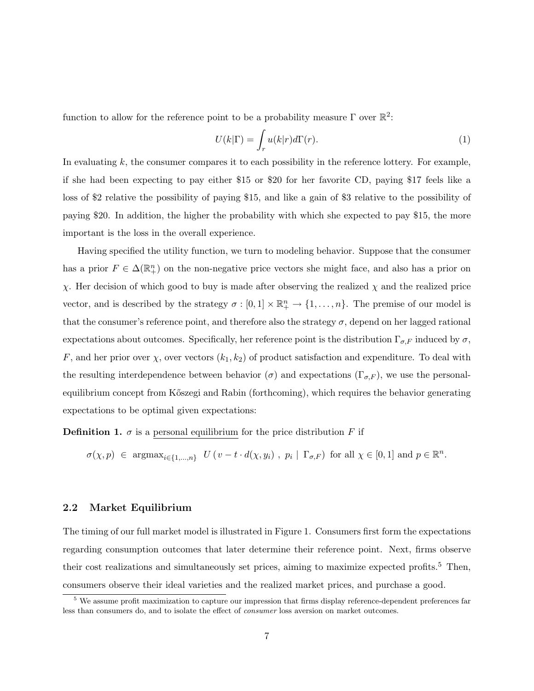function to allow for the reference point to be a probability measure  $\Gamma$  over  $\mathbb{R}^2$ :

$$
U(k|\Gamma) = \int_r u(k|r)d\Gamma(r).
$$
 (1)

In evaluating  $k$ , the consumer compares it to each possibility in the reference lottery. For example, if she had been expecting to pay either \$15 or \$20 for her favorite CD, paying \$17 feels like a loss of \$2 relative the possibility of paying \$15, and like a gain of \$3 relative to the possibility of paying \$20. In addition, the higher the probability with which she expected to pay \$15, the more important is the loss in the overall experience.

Having specified the utility function, we turn to modeling behavior. Suppose that the consumer has a prior  $F \in \Delta(\mathbb{R}^n_+)$  on the non-negative price vectors she might face, and also has a prior on χ. Her decision of which good to buy is made after observing the realized χ and the realized price vector, and is described by the strategy  $\sigma : [0,1] \times \mathbb{R}^n_+ \to \{1,\ldots,n\}$ . The premise of our model is that the consumer's reference point, and therefore also the strategy  $\sigma$ , depend on her lagged rational expectations about outcomes. Specifically, her reference point is the distribution  $\Gamma_{\sigma,F}$  induced by  $\sigma$ , F, and her prior over  $\chi$ , over vectors  $(k_1, k_2)$  of product satisfaction and expenditure. To deal with the resulting interdependence between behavior ( $\sigma$ ) and expectations ( $\Gamma_{\sigma,F}$ ), we use the personalequilibrium concept from Kőszegi and Rabin (forthcoming), which requires the behavior generating expectations to be optimal given expectations:

**Definition 1.**  $\sigma$  is a personal equilibrium for the price distribution F if

$$
\sigma(\chi, p) \in \text{argmax}_{i \in \{1, ..., n\}} \ U\left(v - t \cdot d(\chi, y_i) \ , \ p_i \mid \Gamma_{\sigma, F}\right) \text{ for all } \chi \in [0, 1] \text{ and } p \in \mathbb{R}^n.
$$

#### 2.2 Market Equilibrium

The timing of our full market model is illustrated in Figure 1. Consumers first form the expectations regarding consumption outcomes that later determine their reference point. Next, firms observe their cost realizations and simultaneously set prices, aiming to maximize expected profits.<sup>5</sup> Then, consumers observe their ideal varieties and the realized market prices, and purchase a good.

<sup>&</sup>lt;sup>5</sup> We assume profit maximization to capture our impression that firms display reference-dependent preferences far less than consumers do, and to isolate the effect of consumer loss aversion on market outcomes.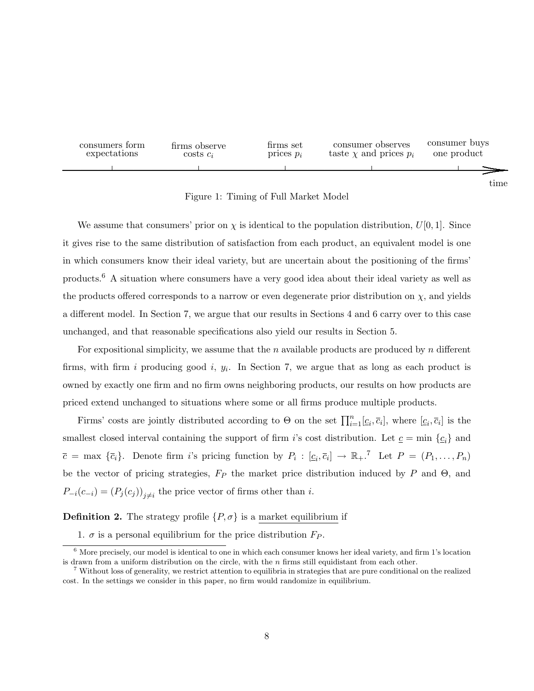

Figure 1: Timing of Full Market Model

We assume that consumers' prior on  $\chi$  is identical to the population distribution,  $U[0, 1]$ . Since it gives rise to the same distribution of satisfaction from each product, an equivalent model is one in which consumers know their ideal variety, but are uncertain about the positioning of the firms' products.<sup>6</sup> A situation where consumers have a very good idea about their ideal variety as well as the products offered corresponds to a narrow or even degenerate prior distribution on  $\chi$ , and yields a different model. In Section 7, we argue that our results in Sections 4 and 6 carry over to this case unchanged, and that reasonable specifications also yield our results in Section 5.

For expositional simplicity, we assume that the n available products are produced by  $n$  different firms, with firm i producing good i,  $y_i$ . In Section 7, we argue that as long as each product is owned by exactly one firm and no firm owns neighboring products, our results on how products are priced extend unchanged to situations where some or all firms produce multiple products.

Firms' costs are jointly distributed according to  $\Theta$  on the set  $\prod_{i=1}^{n} [c_i, \overline{c}_i]$ , where  $[c_i, \overline{c}_i]$  is the smallest closed interval containing the support of firm i's cost distribution. Let  $\underline{c} = \min \{ \underline{c}_i \}$  and  $\overline{c} = \max \{\overline{c}_i\}.$  Denote firm i's pricing function by  $P_i : [c_i, \overline{c}_i] \to \mathbb{R}_+$ .<sup>7</sup> Let  $P = (P_1, \ldots, P_n)$ be the vector of pricing strategies,  $F_P$  the market price distribution induced by P and  $\Theta$ , and  $P_{-i}(c_{-i}) = (P_j(c_j))_{j \neq i}$  the price vector of firms other than *i*.

#### **Definition 2.** The strategy profile  $\{P, \sigma\}$  is a market equilibrium if

1.  $\sigma$  is a personal equilibrium for the price distribution  $F_P$ .

 $6$  More precisely, our model is identical to one in which each consumer knows her ideal variety, and firm 1's location is drawn from a uniform distribution on the circle, with the  $n$  firms still equidistant from each other.

<sup>7</sup> Without loss of generality, we restrict attention to equilibria in strategies that are pure conditional on the realized cost. In the settings we consider in this paper, no firm would randomize in equilibrium.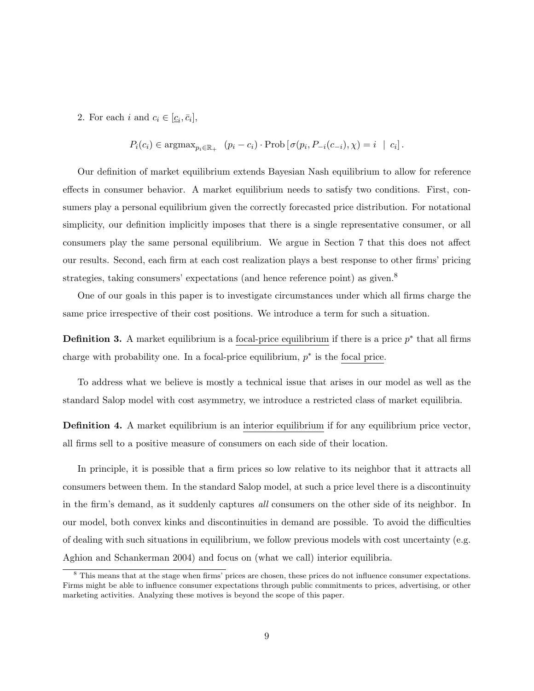2. For each *i* and  $c_i \in [\underline{c}_i, \overline{c}_i],$ 

$$
P_i(c_i) \in \operatorname{argmax}_{p_i \in \mathbb{R}_+} \left( p_i - c_i \right) \cdot \operatorname{Prob} \left[ \sigma(p_i, P_{-i}(c_{-i}), \chi) = i \mid c_i \right].
$$

Our definition of market equilibrium extends Bayesian Nash equilibrium to allow for reference effects in consumer behavior. A market equilibrium needs to satisfy two conditions. First, consumers play a personal equilibrium given the correctly forecasted price distribution. For notational simplicity, our definition implicitly imposes that there is a single representative consumer, or all consumers play the same personal equilibrium. We argue in Section 7 that this does not affect our results. Second, each firm at each cost realization plays a best response to other firms' pricing strategies, taking consumers' expectations (and hence reference point) as given.<sup>8</sup>

One of our goals in this paper is to investigate circumstances under which all firms charge the same price irrespective of their cost positions. We introduce a term for such a situation.

**Definition 3.** A market equilibrium is a focal-price equilibrium if there is a price  $p^*$  that all firms charge with probability one. In a focal-price equilibrium,  $p^*$  is the focal price.

To address what we believe is mostly a technical issue that arises in our model as well as the standard Salop model with cost asymmetry, we introduce a restricted class of market equilibria.

Definition 4. A market equilibrium is an interior equilibrium if for any equilibrium price vector, all firms sell to a positive measure of consumers on each side of their location.

In principle, it is possible that a firm prices so low relative to its neighbor that it attracts all consumers between them. In the standard Salop model, at such a price level there is a discontinuity in the firm's demand, as it suddenly captures all consumers on the other side of its neighbor. In our model, both convex kinks and discontinuities in demand are possible. To avoid the difficulties of dealing with such situations in equilibrium, we follow previous models with cost uncertainty (e.g. Aghion and Schankerman 2004) and focus on (what we call) interior equilibria.

<sup>&</sup>lt;sup>8</sup> This means that at the stage when firms' prices are chosen, these prices do not influence consumer expectations. Firms might be able to influence consumer expectations through public commitments to prices, advertising, or other marketing activities. Analyzing these motives is beyond the scope of this paper.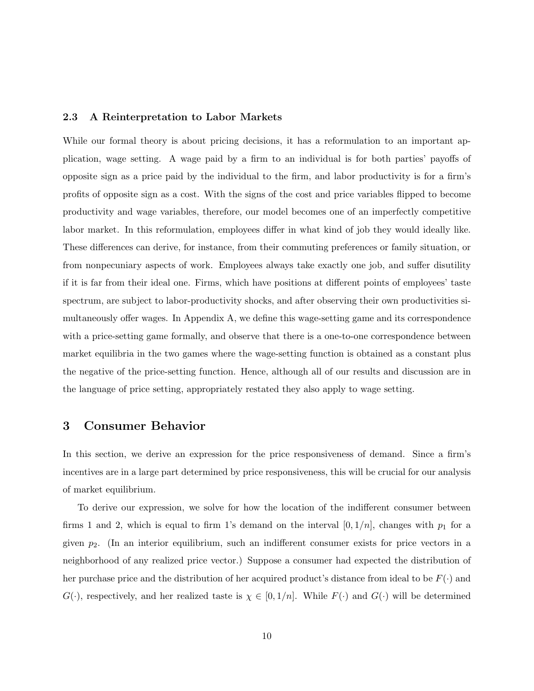#### 2.3 A Reinterpretation to Labor Markets

While our formal theory is about pricing decisions, it has a reformulation to an important application, wage setting. A wage paid by a firm to an individual is for both parties' payoffs of opposite sign as a price paid by the individual to the firm, and labor productivity is for a firm's profits of opposite sign as a cost. With the signs of the cost and price variables flipped to become productivity and wage variables, therefore, our model becomes one of an imperfectly competitive labor market. In this reformulation, employees differ in what kind of job they would ideally like. These differences can derive, for instance, from their commuting preferences or family situation, or from nonpecuniary aspects of work. Employees always take exactly one job, and suffer disutility if it is far from their ideal one. Firms, which have positions at different points of employees' taste spectrum, are subject to labor-productivity shocks, and after observing their own productivities simultaneously offer wages. In Appendix A, we define this wage-setting game and its correspondence with a price-setting game formally, and observe that there is a one-to-one correspondence between market equilibria in the two games where the wage-setting function is obtained as a constant plus the negative of the price-setting function. Hence, although all of our results and discussion are in the language of price setting, appropriately restated they also apply to wage setting.

#### 3 Consumer Behavior

In this section, we derive an expression for the price responsiveness of demand. Since a firm's incentives are in a large part determined by price responsiveness, this will be crucial for our analysis of market equilibrium.

To derive our expression, we solve for how the location of the indifferent consumer between firms 1 and 2, which is equal to firm 1's demand on the interval  $[0, 1/n]$ , changes with  $p_1$  for a given  $p_2$ . (In an interior equilibrium, such an indifferent consumer exists for price vectors in a neighborhood of any realized price vector.) Suppose a consumer had expected the distribution of her purchase price and the distribution of her acquired product's distance from ideal to be  $F(\cdot)$  and  $G(\cdot)$ , respectively, and her realized taste is  $\chi \in [0,1/n]$ . While  $F(\cdot)$  and  $G(\cdot)$  will be determined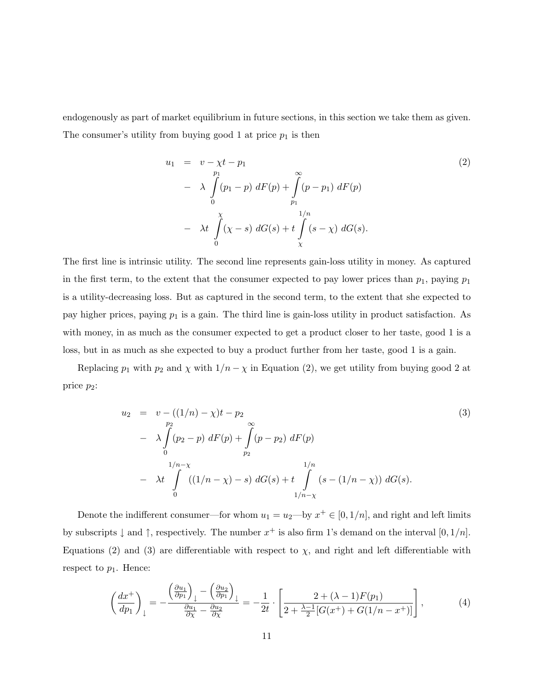endogenously as part of market equilibrium in future sections, in this section we take them as given. The consumer's utility from buying good 1 at price  $p_1$  is then

$$
u_1 = v - \chi t - p_1
$$
  
\n
$$
- \lambda \int_{0}^{p_1} (p_1 - p) dF(p) + \int_{p_1}^{\infty} (p - p_1) dF(p)
$$
  
\n
$$
- \lambda t \int_{0}^{\chi} (\chi - s) dG(s) + t \int_{\chi}^{1/n} (s - \chi) dG(s).
$$
\n(2)

The first line is intrinsic utility. The second line represents gain-loss utility in money. As captured in the first term, to the extent that the consumer expected to pay lower prices than  $p_1$ , paying  $p_1$ is a utility-decreasing loss. But as captured in the second term, to the extent that she expected to pay higher prices, paying  $p_1$  is a gain. The third line is gain-loss utility in product satisfaction. As with money, in as much as the consumer expected to get a product closer to her taste, good 1 is a loss, but in as much as she expected to buy a product further from her taste, good 1 is a gain.

Replacing  $p_1$  with  $p_2$  and  $\chi$  with  $1/n - \chi$  in Equation (2), we get utility from buying good 2 at price  $p_2$ :

$$
u_2 = v - ((1/n) - \chi)t - p_2
$$
  
\n
$$
- \lambda \int_0^{p_2} (p_2 - p) dF(p) + \int_{p_2}^{\infty} (p - p_2) dF(p)
$$
  
\n
$$
- \lambda t \int_0^{1/n - \chi} ((1/n - \chi) - s) dG(s) + t \int_{1/n - \chi}^{1/n} (s - (1/n - \chi)) dG(s).
$$
\n(3)

Denote the indifferent consumer—for whom  $u_1 = u_2$ —by  $x^+ \in [0, 1/n]$ , and right and left limits by subscripts  $\downarrow$  and  $\uparrow$ , respectively. The number  $x^+$  is also firm 1's demand on the interval  $[0, 1/n]$ . Equations (2) and (3) are differentiable with respect to  $\chi$ , and right and left differentiable with respect to  $p_1$ . Hence:

$$
\left(\frac{dx^+}{dp_1}\right)_{\downarrow} = -\frac{\left(\frac{\partial u_1}{\partial p_1}\right)_{\downarrow} - \left(\frac{\partial u_2}{\partial p_1}\right)_{\downarrow}}{\frac{\partial u_1}{\partial x} - \frac{\partial u_2}{\partial x}} = -\frac{1}{2t} \cdot \left[\frac{2 + (\lambda - 1)F(p_1)}{2 + \frac{\lambda - 1}{2}[G(x^+) + G(1/n - x^+)]}\right],\tag{4}
$$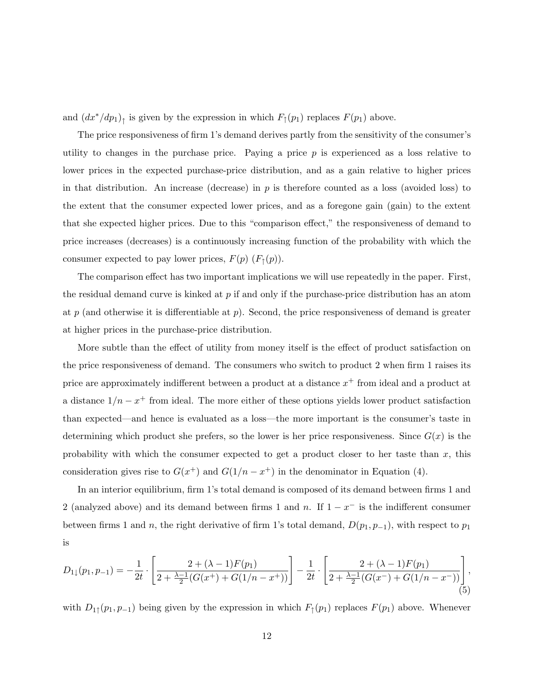and  $(dx^*/dp_1)$ <sub>↑</sub> is given by the expression in which  $F_{\uparrow}(p_1)$  replaces  $F(p_1)$  above.

The price responsiveness of firm 1's demand derives partly from the sensitivity of the consumer's utility to changes in the purchase price. Paying a price  $p$  is experienced as a loss relative to lower prices in the expected purchase-price distribution, and as a gain relative to higher prices in that distribution. An increase (decrease) in  $p$  is therefore counted as a loss (avoided loss) to the extent that the consumer expected lower prices, and as a foregone gain (gain) to the extent that she expected higher prices. Due to this "comparison effect," the responsiveness of demand to price increases (decreases) is a continuously increasing function of the probability with which the consumer expected to pay lower prices,  $F(p)$   $(F<sub>†</sub>(p))$ .

The comparison effect has two important implications we will use repeatedly in the paper. First, the residual demand curve is kinked at  $p$  if and only if the purchase-price distribution has an atom at p (and otherwise it is differentiable at p). Second, the price responsiveness of demand is greater at higher prices in the purchase-price distribution.

More subtle than the effect of utility from money itself is the effect of product satisfaction on the price responsiveness of demand. The consumers who switch to product 2 when firm 1 raises its price are approximately indifferent between a product at a distance  $x^{+}$  from ideal and a product at a distance  $1/n - x^+$  from ideal. The more either of these options yields lower product satisfaction than expected—and hence is evaluated as a loss—the more important is the consumer's taste in determining which product she prefers, so the lower is her price responsiveness. Since  $G(x)$  is the probability with which the consumer expected to get a product closer to her taste than  $x$ , this consideration gives rise to  $G(x^+)$  and  $G(1/n - x^+)$  in the denominator in Equation (4).

In an interior equilibrium, firm 1's total demand is composed of its demand between firms 1 and 2 (analyzed above) and its demand between firms 1 and n. If  $1 - x^{-}$  is the indifferent consumer between firms 1 and n, the right derivative of firm 1's total demand,  $D(p_1, p_{-1})$ , with respect to  $p_1$ is

$$
D_{1\downarrow}(p_1, p_{-1}) = -\frac{1}{2t} \cdot \left[ \frac{2 + (\lambda - 1)F(p_1)}{2 + \frac{\lambda - 1}{2}(G(x^+) + G(1/n - x^+))} \right] - \frac{1}{2t} \cdot \left[ \frac{2 + (\lambda - 1)F(p_1)}{2 + \frac{\lambda - 1}{2}(G(x^-) + G(1/n - x^-))} \right],
$$
\n(5)

with  $D_{1\uparrow}(p_1, p_{-1})$  being given by the expression in which  $F_{\uparrow}(p_1)$  replaces  $F(p_1)$  above. Whenever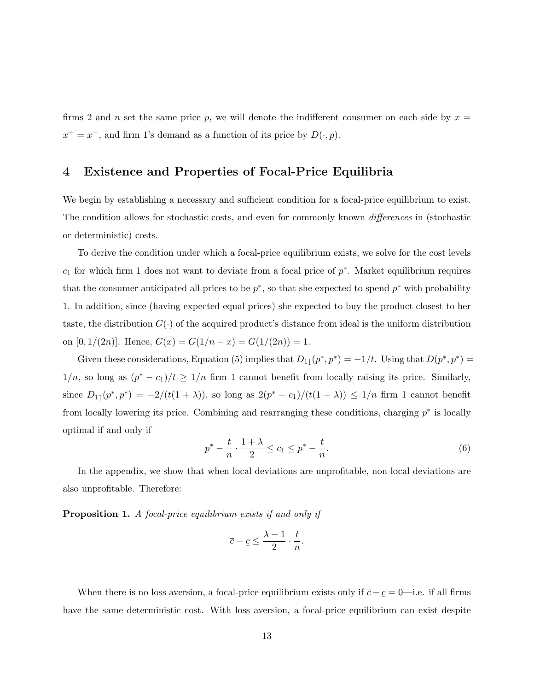firms 2 and n set the same price p, we will denote the indifferent consumer on each side by  $x =$  $x^+ = x^-$ , and firm 1's demand as a function of its price by  $D(\cdot, p)$ .

# 4 Existence and Properties of Focal-Price Equilibria

We begin by establishing a necessary and sufficient condition for a focal-price equilibrium to exist. The condition allows for stochastic costs, and even for commonly known differences in (stochastic or deterministic) costs.

To derive the condition under which a focal-price equilibrium exists, we solve for the cost levels  $c_1$  for which firm 1 does not want to deviate from a focal price of  $p^*$ . Market equilibrium requires that the consumer anticipated all prices to be  $p^*$ , so that she expected to spend  $p^*$  with probability 1. In addition, since (having expected equal prices) she expected to buy the product closest to her taste, the distribution  $G(\cdot)$  of the acquired product's distance from ideal is the uniform distribution on [0, 1/(2n)]. Hence,  $G(x) = G(1/n - x) = G(1/(2n)) = 1$ .

Given these considerations, Equation (5) implies that  $D_{1\downarrow}(p^*,p^*) = -1/t$ . Using that  $D(p^*,p^*) =$  $1/n$ , so long as  $(p^* - c_1)/t \geq 1/n$  firm 1 cannot benefit from locally raising its price. Similarly, since  $D_{1\uparrow}(p^*,p^*) = -2/(t(1+\lambda))$ , so long as  $2(p^*-c_1)/(t(1+\lambda)) \leq 1/n$  firm 1 cannot benefit from locally lowering its price. Combining and rearranging these conditions, charging  $p^*$  is locally optimal if and only if

$$
p^* - \frac{t}{n} \cdot \frac{1+\lambda}{2} \le c_1 \le p^* - \frac{t}{n}.\tag{6}
$$

In the appendix, we show that when local deviations are unprofitable, non-local deviations are also unprofitable. Therefore:

Proposition 1. A focal-price equilibrium exists if and only if

$$
\overline{c} - \underline{c} \le \frac{\lambda - 1}{2} \cdot \frac{t}{n}.
$$

When there is no loss aversion, a focal-price equilibrium exists only if  $\bar{c} - \underline{c} = 0$ —i.e. if all firms have the same deterministic cost. With loss aversion, a focal-price equilibrium can exist despite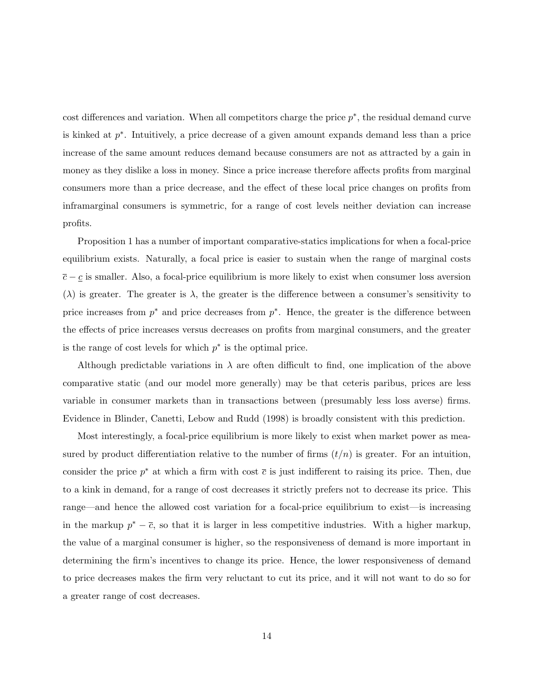cost differences and variation. When all competitors charge the price  $p^*$ , the residual demand curve is kinked at  $p^*$ . Intuitively, a price decrease of a given amount expands demand less than a price increase of the same amount reduces demand because consumers are not as attracted by a gain in money as they dislike a loss in money. Since a price increase therefore affects profits from marginal consumers more than a price decrease, and the effect of these local price changes on profits from inframarginal consumers is symmetric, for a range of cost levels neither deviation can increase profits.

Proposition 1 has a number of important comparative-statics implications for when a focal-price equilibrium exists. Naturally, a focal price is easier to sustain when the range of marginal costs  $\overline{c} - \underline{c}$  is smaller. Also, a focal-price equilibrium is more likely to exist when consumer loss aversion  $(\lambda)$  is greater. The greater is  $\lambda$ , the greater is the difference between a consumer's sensitivity to price increases from  $p^*$  and price decreases from  $p^*$ . Hence, the greater is the difference between the effects of price increases versus decreases on profits from marginal consumers, and the greater is the range of cost levels for which  $p^*$  is the optimal price.

Although predictable variations in  $\lambda$  are often difficult to find, one implication of the above comparative static (and our model more generally) may be that ceteris paribus, prices are less variable in consumer markets than in transactions between (presumably less loss averse) firms. Evidence in Blinder, Canetti, Lebow and Rudd (1998) is broadly consistent with this prediction.

Most interestingly, a focal-price equilibrium is more likely to exist when market power as measured by product differentiation relative to the number of firms  $(t/n)$  is greater. For an intuition, consider the price  $p^*$  at which a firm with cost  $\bar{c}$  is just indifferent to raising its price. Then, due to a kink in demand, for a range of cost decreases it strictly prefers not to decrease its price. This range—and hence the allowed cost variation for a focal-price equilibrium to exist—is increasing in the markup  $p^* - \bar{c}$ , so that it is larger in less competitive industries. With a higher markup, the value of a marginal consumer is higher, so the responsiveness of demand is more important in determining the firm's incentives to change its price. Hence, the lower responsiveness of demand to price decreases makes the firm very reluctant to cut its price, and it will not want to do so for a greater range of cost decreases.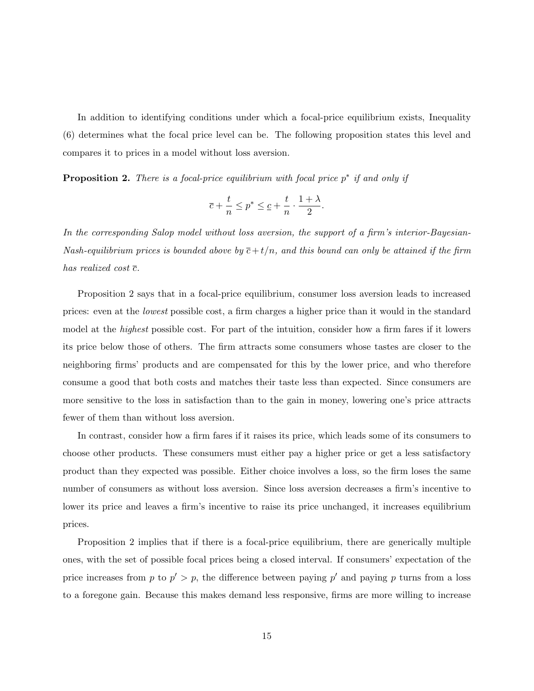In addition to identifying conditions under which a focal-price equilibrium exists, Inequality (6) determines what the focal price level can be. The following proposition states this level and compares it to prices in a model without loss aversion.

**Proposition 2.** There is a focal-price equilibrium with focal price  $p^*$  if and only if

$$
\overline{c}+\frac{t}{n}\leq p^*\leq \underline{c}+\frac{t}{n}\cdot \frac{1+\lambda}{2}.
$$

In the corresponding Salop model without loss aversion, the support of a firm's interior-Bayesian-Nash-equilibrium prices is bounded above by  $\bar{c}+t/n$ , and this bound can only be attained if the firm has realized cost  $\bar{c}$ .

Proposition 2 says that in a focal-price equilibrium, consumer loss aversion leads to increased prices: even at the lowest possible cost, a firm charges a higher price than it would in the standard model at the highest possible cost. For part of the intuition, consider how a firm fares if it lowers its price below those of others. The firm attracts some consumers whose tastes are closer to the neighboring firms' products and are compensated for this by the lower price, and who therefore consume a good that both costs and matches their taste less than expected. Since consumers are more sensitive to the loss in satisfaction than to the gain in money, lowering one's price attracts fewer of them than without loss aversion.

In contrast, consider how a firm fares if it raises its price, which leads some of its consumers to choose other products. These consumers must either pay a higher price or get a less satisfactory product than they expected was possible. Either choice involves a loss, so the firm loses the same number of consumers as without loss aversion. Since loss aversion decreases a firm's incentive to lower its price and leaves a firm's incentive to raise its price unchanged, it increases equilibrium prices.

Proposition 2 implies that if there is a focal-price equilibrium, there are generically multiple ones, with the set of possible focal prices being a closed interval. If consumers' expectation of the price increases from p to  $p' > p$ , the difference between paying p' and paying p turns from a loss to a foregone gain. Because this makes demand less responsive, firms are more willing to increase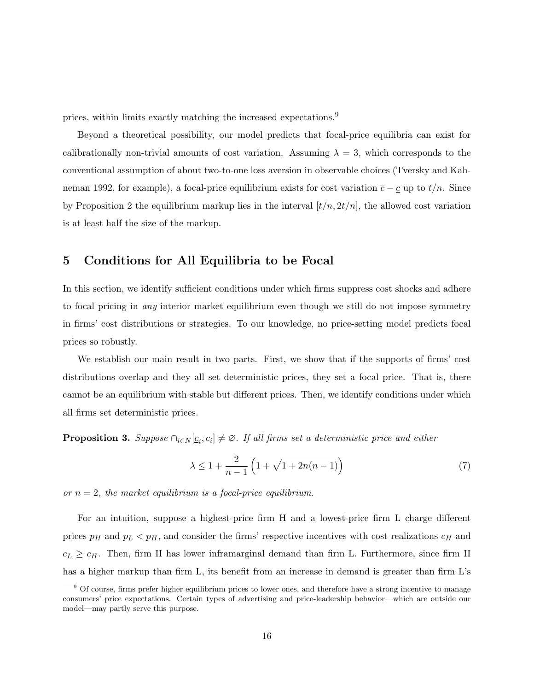prices, within limits exactly matching the increased expectations.<sup>9</sup>

Beyond a theoretical possibility, our model predicts that focal-price equilibria can exist for calibrationally non-trivial amounts of cost variation. Assuming  $\lambda = 3$ , which corresponds to the conventional assumption of about two-to-one loss aversion in observable choices (Tversky and Kahneman 1992, for example), a focal-price equilibrium exists for cost variation  $\bar{c} - \underline{c}$  up to  $t/n$ . Since by Proposition 2 the equilibrium markup lies in the interval  $[t/n, 2t/n]$ , the allowed cost variation is at least half the size of the markup.

#### 5 Conditions for All Equilibria to be Focal

In this section, we identify sufficient conditions under which firms suppress cost shocks and adhere to focal pricing in any interior market equilibrium even though we still do not impose symmetry in firms' cost distributions or strategies. To our knowledge, no price-setting model predicts focal prices so robustly.

We establish our main result in two parts. First, we show that if the supports of firms' cost distributions overlap and they all set deterministic prices, they set a focal price. That is, there cannot be an equilibrium with stable but different prices. Then, we identify conditions under which all firms set deterministic prices.

**Proposition 3.** Suppose  $\bigcap_{i \in N} [c_i, \overline{c}_i] \neq \emptyset$ . If all firms set a deterministic price and either

$$
\lambda \le 1 + \frac{2}{n-1} \left( 1 + \sqrt{1 + 2n(n-1)} \right) \tag{7}
$$

or  $n = 2$ , the market equilibrium is a focal-price equilibrium.

For an intuition, suppose a highest-price firm H and a lowest-price firm L charge different prices  $p_H$  and  $p_L < p_H$ , and consider the firms' respective incentives with cost realizations  $c_H$  and  $c_L \geq c_H$ . Then, firm H has lower inframarginal demand than firm L. Furthermore, since firm H has a higher markup than firm L, its benefit from an increase in demand is greater than firm L's

<sup>&</sup>lt;sup>9</sup> Of course, firms prefer higher equilibrium prices to lower ones, and therefore have a strong incentive to manage consumers' price expectations. Certain types of advertising and price-leadership behavior—which are outside our model—may partly serve this purpose.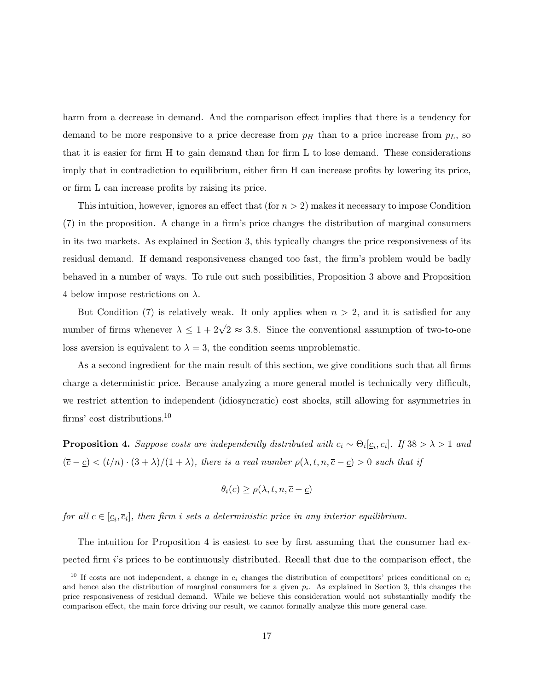harm from a decrease in demand. And the comparison effect implies that there is a tendency for demand to be more responsive to a price decrease from  $p<sub>H</sub>$  than to a price increase from  $p<sub>L</sub>$ , so that it is easier for firm H to gain demand than for firm L to lose demand. These considerations imply that in contradiction to equilibrium, either firm H can increase profits by lowering its price, or firm L can increase profits by raising its price.

This intuition, however, ignores an effect that (for  $n > 2$ ) makes it necessary to impose Condition (7) in the proposition. A change in a firm's price changes the distribution of marginal consumers in its two markets. As explained in Section 3, this typically changes the price responsiveness of its residual demand. If demand responsiveness changed too fast, the firm's problem would be badly behaved in a number of ways. To rule out such possibilities, Proposition 3 above and Proposition 4 below impose restrictions on  $\lambda$ .

But Condition (7) is relatively weak. It only applies when  $n > 2$ , and it is satisfied for any number of firms whenever  $\lambda \leq 1 + 2\sqrt{2} \approx 3.8$ . Since the conventional assumption of two-to-one loss aversion is equivalent to  $\lambda = 3$ , the condition seems unproblematic.

As a second ingredient for the main result of this section, we give conditions such that all firms charge a deterministic price. Because analyzing a more general model is technically very difficult, we restrict attention to independent (idiosyncratic) cost shocks, still allowing for asymmetries in firms' cost distributions.<sup>10</sup>

**Proposition 4.** Suppose costs are independently distributed with  $c_i \sim \Theta_i[c_i, \overline{c}_i]$ . If  $38 > \lambda > 1$  and  $(\overline{c}-\underline{c}) < (t/n) \cdot (3+\lambda)/(1+\lambda)$ , there is a real number  $\rho(\lambda, t, n, \overline{c}-\underline{c}) > 0$  such that if

$$
\theta_i(c) \ge \rho(\lambda, t, n, \overline{c} - \underline{c})
$$

for all  $c \in [\underline{c}_i, \overline{c}_i]$ , then firm i sets a deterministic price in any interior equilibrium.

The intuition for Proposition 4 is easiest to see by first assuming that the consumer had expected firm i's prices to be continuously distributed. Recall that due to the comparison effect, the

<sup>&</sup>lt;sup>10</sup> If costs are not independent, a change in  $c_i$  changes the distribution of competitors' prices conditional on  $c_i$ and hence also the distribution of marginal consumers for a given  $p_i$ . As explained in Section 3, this changes the price responsiveness of residual demand. While we believe this consideration would not substantially modify the comparison effect, the main force driving our result, we cannot formally analyze this more general case.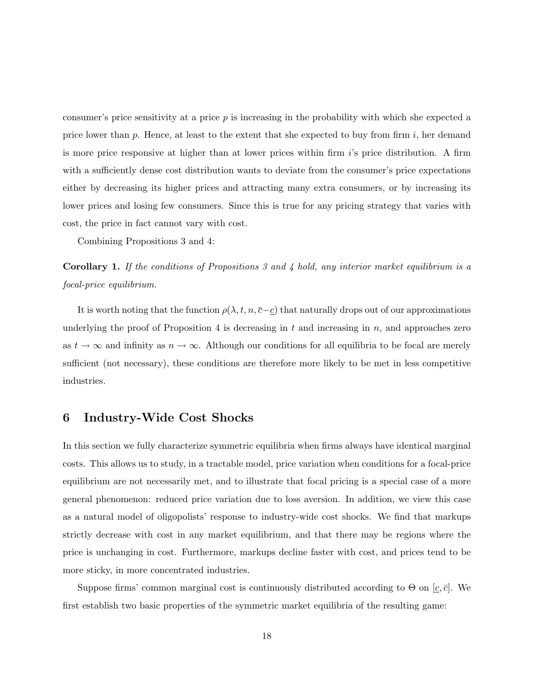consumer's price sensitivity at a price  $p$  is increasing in the probability with which she expected a price lower than p. Hence, at least to the extent that she expected to buy from firm  $i$ , her demand is more price responsive at higher than at lower prices within firm  $i$ 's price distribution. A firm with a sufficiently dense cost distribution wants to deviate from the consumer's price expectations either by decreasing its higher prices and attracting many extra consumers, or by increasing its lower prices and losing few consumers. Since this is true for any pricing strategy that varies with cost, the price in fact cannot vary with cost.

Combining Propositions 3 and 4:

Corollary 1. If the conditions of Propositions 3 and 4 hold, any interior market equilibrium is a focal-price equilibrium.

It is worth noting that the function  $\rho(\lambda, t, n, \bar{c} - \underline{c})$  that naturally drops out of our approximations underlying the proof of Proposition 4 is decreasing in  $t$  and increasing in  $n$ , and approaches zero as  $t \to \infty$  and infinity as  $n \to \infty$ . Although our conditions for all equilibria to be focal are merely sufficient (not necessary), these conditions are therefore more likely to be met in less competitive industries.

#### 6 Industry-Wide Cost Shocks

In this section we fully characterize symmetric equilibria when firms always have identical marginal costs. This allows us to study, in a tractable model, price variation when conditions for a focal-price equilibrium are not necessarily met, and to illustrate that focal pricing is a special case of a more general phenomenon: reduced price variation due to loss aversion. In addition, we view this case as a natural model of oligopolists' response to industry-wide cost shocks. We find that markups strictly decrease with cost in any market equilibrium, and that there may be regions where the price is unchanging in cost. Furthermore, markups decline faster with cost, and prices tend to be more sticky, in more concentrated industries.

Suppose firms' common marginal cost is continuously distributed according to  $\Theta$  on  $[c, \bar{c}]$ . We first establish two basic properties of the symmetric market equilibria of the resulting game: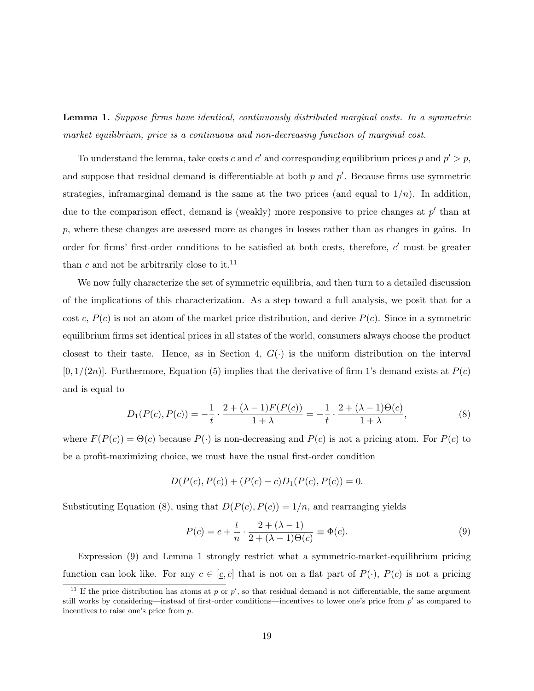Lemma 1. Suppose firms have identical, continuously distributed marginal costs. In a symmetric market equilibrium, price is a continuous and non-decreasing function of marginal cost.

To understand the lemma, take costs c and c' and corresponding equilibrium prices p and  $p' > p$ , and suppose that residual demand is differentiable at both  $p$  and  $p'$ . Because firms use symmetric strategies, inframarginal demand is the same at the two prices (and equal to  $1/n$ ). In addition, due to the comparison effect, demand is (weakly) more responsive to price changes at  $p'$  than at  $p$ , where these changes are assessed more as changes in losses rather than as changes in gains. In order for firms' first-order conditions to be satisfied at both costs, therefore,  $c'$  must be greater than c and not be arbitrarily close to it.<sup>11</sup>

We now fully characterize the set of symmetric equilibria, and then turn to a detailed discussion of the implications of this characterization. As a step toward a full analysis, we posit that for a cost c,  $P(c)$  is not an atom of the market price distribution, and derive  $P(c)$ . Since in a symmetric equilibrium firms set identical prices in all states of the world, consumers always choose the product closest to their taste. Hence, as in Section 4,  $G(\cdot)$  is the uniform distribution on the interval  $[0, 1/(2n)]$ . Furthermore, Equation (5) implies that the derivative of firm 1's demand exists at  $P(c)$ and is equal to

$$
D_1(P(c), P(c)) = -\frac{1}{t} \cdot \frac{2 + (\lambda - 1)F(P(c))}{1 + \lambda} = -\frac{1}{t} \cdot \frac{2 + (\lambda - 1)\Theta(c)}{1 + \lambda},
$$
\n(8)

where  $F(P(c)) = \Theta(c)$  because  $P(\cdot)$  is non-decreasing and  $P(c)$  is not a pricing atom. For  $P(c)$  to be a profit-maximizing choice, we must have the usual first-order condition

$$
D(P(c), P(c)) + (P(c) - c)D1(P(c), P(c)) = 0.
$$

Substituting Equation (8), using that  $D(P(c), P(c)) = 1/n$ , and rearranging yields

$$
P(c) = c + \frac{t}{n} \cdot \frac{2 + (\lambda - 1)}{2 + (\lambda - 1)\Theta(c)} \equiv \Phi(c).
$$
 (9)

Expression (9) and Lemma 1 strongly restrict what a symmetric-market-equilibrium pricing function can look like. For any  $c \in [c, \bar{c}]$  that is not on a flat part of  $P(\cdot)$ ,  $P(c)$  is not a pricing

<sup>&</sup>lt;sup>11</sup> If the price distribution has atoms at p or p', so that residual demand is not differentiable, the same argument still works by considering—instead of first-order conditions—incentives to lower one's price from  $p'$  as compared to incentives to raise one's price from p.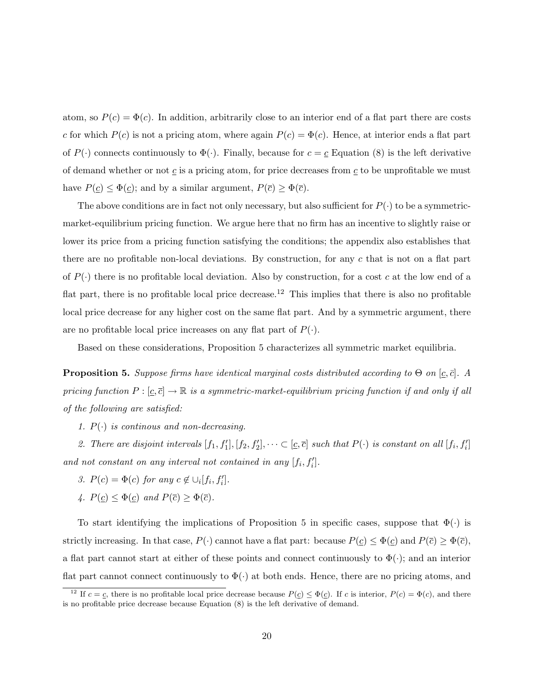atom, so  $P(c) = \Phi(c)$ . In addition, arbitrarily close to an interior end of a flat part there are costs c for which  $P(c)$  is not a pricing atom, where again  $P(c) = \Phi(c)$ . Hence, at interior ends a flat part of  $P(\cdot)$  connects continuously to  $\Phi(\cdot)$ . Finally, because for  $c = \underline{c}$  Equation (8) is the left derivative of demand whether or not  $\underline{c}$  is a pricing atom, for price decreases from  $\underline{c}$  to be unprofitable we must have  $P(\underline{c}) \leq \Phi(\underline{c})$ ; and by a similar argument,  $P(\overline{c}) \geq \Phi(\overline{c})$ .

The above conditions are in fact not only necessary, but also sufficient for  $P(\cdot)$  to be a symmetricmarket-equilibrium pricing function. We argue here that no firm has an incentive to slightly raise or lower its price from a pricing function satisfying the conditions; the appendix also establishes that there are no profitable non-local deviations. By construction, for any c that is not on a flat part of  $P(\cdot)$  there is no profitable local deviation. Also by construction, for a cost c at the low end of a flat part, there is no profitable local price decrease.<sup>12</sup> This implies that there is also no profitable local price decrease for any higher cost on the same flat part. And by a symmetric argument, there are no profitable local price increases on any flat part of  $P(\cdot)$ .

Based on these considerations, Proposition 5 characterizes all symmetric market equilibria.

**Proposition 5.** Suppose firms have identical marginal costs distributed according to  $\Theta$  on [c,  $\bar{c}$ ]. A pricing function  $P : [\underline{c}, \overline{c}] \to \mathbb{R}$  is a symmetric-market-equilibrium pricing function if and only if all of the following are satisfied:

1.  $P(\cdot)$  is continous and non-decreasing.

2. There are disjoint intervals  $[f_1, f'_1], [f_2, f'_2], \cdots \subset [\underline{c}, \overline{c}]$  such that  $P(\cdot)$  is constant on all  $[f_i, f'_i]$ and not constant on any interval not contained in any  $[f_i, f'_i]$ .

- 3.  $P(c) = \Phi(c)$  for any  $c \notin \bigcup_i [f_i, f'_i].$
- 4.  $P(\underline{c}) \leq \Phi(\underline{c})$  and  $P(\overline{c}) \geq \Phi(\overline{c})$ .

To start identifying the implications of Proposition 5 in specific cases, suppose that  $\Phi(\cdot)$  is strictly increasing. In that case,  $P(\cdot)$  cannot have a flat part: because  $P(\underline{c}) \leq \Phi(\underline{c})$  and  $P(\overline{c}) \geq \Phi(\overline{c})$ , a flat part cannot start at either of these points and connect continuously to  $\Phi(\cdot)$ ; and an interior flat part cannot connect continuously to  $\Phi(\cdot)$  at both ends. Hence, there are no pricing atoms, and

<sup>&</sup>lt;sup>12</sup> If  $c = \underline{c}$ , there is no profitable local price decrease because  $P(\underline{c}) \leq \Phi(\underline{c})$ . If c is interior,  $P(c) = \Phi(c)$ , and there is no profitable price decrease because Equation (8) is the left derivative of demand.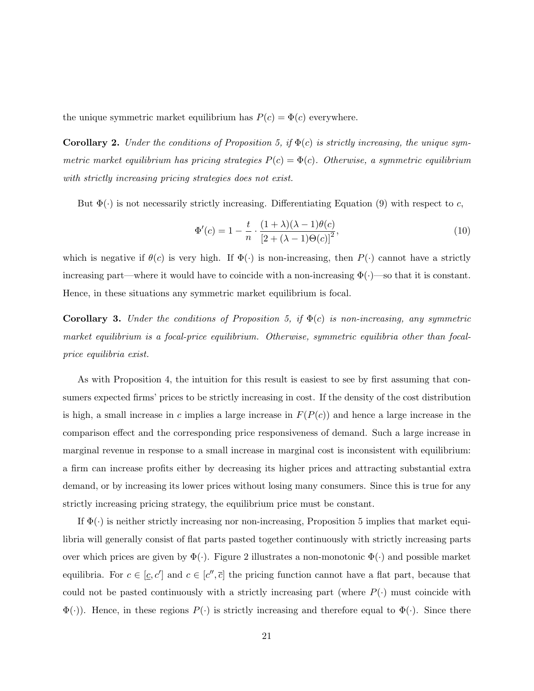the unique symmetric market equilibrium has  $P(c) = \Phi(c)$  everywhere.

**Corollary 2.** Under the conditions of Proposition 5, if  $\Phi(c)$  is strictly increasing, the unique symmetric market equilibrium has pricing strategies  $P(c) = \Phi(c)$ . Otherwise, a symmetric equilibrium with strictly increasing pricing strategies does not exist.

But  $\Phi(\cdot)$  is not necessarily strictly increasing. Differentiating Equation (9) with respect to c,

$$
\Phi'(c) = 1 - \frac{t}{n} \cdot \frac{(1+\lambda)(\lambda-1)\theta(c)}{[2+(\lambda-1)\Theta(c)]^2},\tag{10}
$$

which is negative if  $\theta(c)$  is very high. If  $\Phi(\cdot)$  is non-increasing, then  $P(\cdot)$  cannot have a strictly increasing part—where it would have to coincide with a non-increasing  $\Phi(\cdot)$ —so that it is constant. Hence, in these situations any symmetric market equilibrium is focal.

**Corollary 3.** Under the conditions of Proposition 5, if  $\Phi(c)$  is non-increasing, any symmetric market equilibrium is a focal-price equilibrium. Otherwise, symmetric equilibria other than focalprice equilibria exist.

As with Proposition 4, the intuition for this result is easiest to see by first assuming that consumers expected firms' prices to be strictly increasing in cost. If the density of the cost distribution is high, a small increase in c implies a large increase in  $F(P(c))$  and hence a large increase in the comparison effect and the corresponding price responsiveness of demand. Such a large increase in marginal revenue in response to a small increase in marginal cost is inconsistent with equilibrium: a firm can increase profits either by decreasing its higher prices and attracting substantial extra demand, or by increasing its lower prices without losing many consumers. Since this is true for any strictly increasing pricing strategy, the equilibrium price must be constant.

If  $\Phi(\cdot)$  is neither strictly increasing nor non-increasing, Proposition 5 implies that market equilibria will generally consist of flat parts pasted together continuously with strictly increasing parts over which prices are given by  $\Phi(\cdot)$ . Figure 2 illustrates a non-monotonic  $\Phi(\cdot)$  and possible market equilibria. For  $c \in [\underline{c}, c']$  and  $c \in [c'', \overline{c}]$  the pricing function cannot have a flat part, because that could not be pasted continuously with a strictly increasing part (where  $P(\cdot)$  must coincide with  $\Phi(\cdot)$ . Hence, in these regions  $P(\cdot)$  is strictly increasing and therefore equal to  $\Phi(\cdot)$ . Since there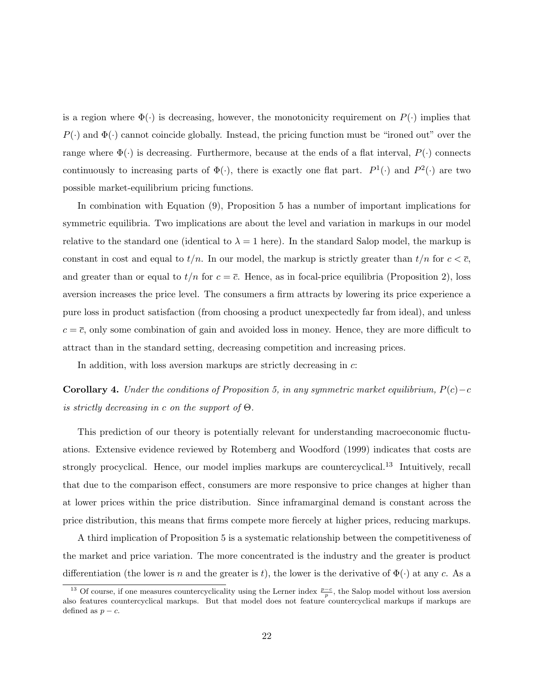is a region where  $\Phi(\cdot)$  is decreasing, however, the monotonicity requirement on  $P(\cdot)$  implies that  $P(\cdot)$  and  $\Phi(\cdot)$  cannot coincide globally. Instead, the pricing function must be "ironed out" over the range where  $\Phi(\cdot)$  is decreasing. Furthermore, because at the ends of a flat interval,  $P(\cdot)$  connects continuously to increasing parts of  $\Phi(\cdot)$ , there is exactly one flat part.  $P^1(\cdot)$  and  $P^2(\cdot)$  are two possible market-equilibrium pricing functions.

In combination with Equation (9), Proposition 5 has a number of important implications for symmetric equilibria. Two implications are about the level and variation in markups in our model relative to the standard one (identical to  $\lambda = 1$  here). In the standard Salop model, the markup is constant in cost and equal to  $t/n$ . In our model, the markup is strictly greater than  $t/n$  for  $c < \overline{c}$ , and greater than or equal to  $t/n$  for  $c = \overline{c}$ . Hence, as in focal-price equilibria (Proposition 2), loss aversion increases the price level. The consumers a firm attracts by lowering its price experience a pure loss in product satisfaction (from choosing a product unexpectedly far from ideal), and unless  $c = \overline{c}$ , only some combination of gain and avoided loss in money. Hence, they are more difficult to attract than in the standard setting, decreasing competition and increasing prices.

In addition, with loss aversion markups are strictly decreasing in c:

**Corollary 4.** Under the conditions of Proposition 5, in any symmetric market equilibrium,  $P(c) - c$ is strictly decreasing in c on the support of  $\Theta$ .

This prediction of our theory is potentially relevant for understanding macroeconomic fluctuations. Extensive evidence reviewed by Rotemberg and Woodford (1999) indicates that costs are strongly procyclical. Hence, our model implies markups are countercyclical.<sup>13</sup> Intuitively, recall that due to the comparison effect, consumers are more responsive to price changes at higher than at lower prices within the price distribution. Since inframarginal demand is constant across the price distribution, this means that firms compete more fiercely at higher prices, reducing markups.

A third implication of Proposition 5 is a systematic relationship between the competitiveness of the market and price variation. The more concentrated is the industry and the greater is product differentiation (the lower is n and the greater is t), the lower is the derivative of  $\Phi(\cdot)$  at any c. As a

<sup>&</sup>lt;sup>13</sup> Of course, if one measures countercyclicality using the Lerner index  $\frac{p-c}{p}$ , the Salop model without loss aversion also features countercyclical markups. But that model does not feature countercyclical markups if markups are defined as  $p - c$ .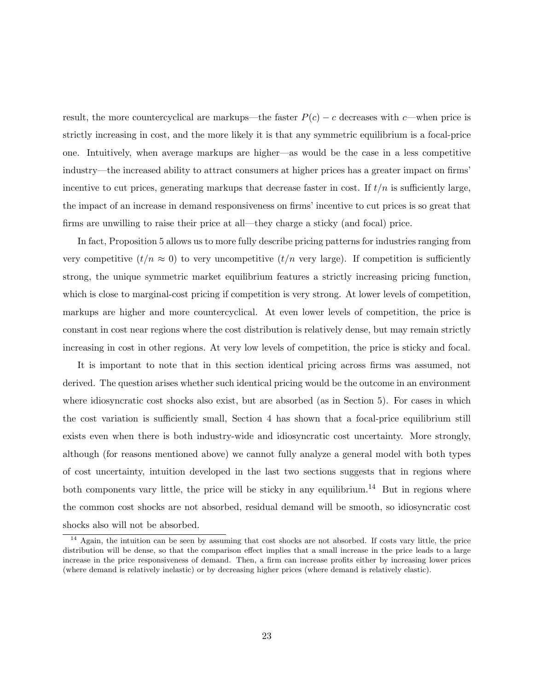result, the more countercyclical are markups—the faster  $P(c) - c$  decreases with c—when price is strictly increasing in cost, and the more likely it is that any symmetric equilibrium is a focal-price one. Intuitively, when average markups are higher—as would be the case in a less competitive industry—the increased ability to attract consumers at higher prices has a greater impact on firms' incentive to cut prices, generating markups that decrease faster in cost. If  $t/n$  is sufficiently large, the impact of an increase in demand responsiveness on firms' incentive to cut prices is so great that firms are unwilling to raise their price at all—they charge a sticky (and focal) price.

In fact, Proposition 5 allows us to more fully describe pricing patterns for industries ranging from very competitive  $(t/n \approx 0)$  to very uncompetitive  $(t/n \text{ very large})$ . If competition is sufficiently strong, the unique symmetric market equilibrium features a strictly increasing pricing function, which is close to marginal-cost pricing if competition is very strong. At lower levels of competition, markups are higher and more countercyclical. At even lower levels of competition, the price is constant in cost near regions where the cost distribution is relatively dense, but may remain strictly increasing in cost in other regions. At very low levels of competition, the price is sticky and focal.

It is important to note that in this section identical pricing across firms was assumed, not derived. The question arises whether such identical pricing would be the outcome in an environment where idiosyncratic cost shocks also exist, but are absorbed (as in Section 5). For cases in which the cost variation is sufficiently small, Section 4 has shown that a focal-price equilibrium still exists even when there is both industry-wide and idiosyncratic cost uncertainty. More strongly, although (for reasons mentioned above) we cannot fully analyze a general model with both types of cost uncertainty, intuition developed in the last two sections suggests that in regions where both components vary little, the price will be sticky in any equilibrium.<sup>14</sup> But in regions where the common cost shocks are not absorbed, residual demand will be smooth, so idiosyncratic cost shocks also will not be absorbed.

<sup>&</sup>lt;sup>14</sup> Again, the intuition can be seen by assuming that cost shocks are not absorbed. If costs vary little, the price distribution will be dense, so that the comparison effect implies that a small increase in the price leads to a large increase in the price responsiveness of demand. Then, a firm can increase profits either by increasing lower prices (where demand is relatively inelastic) or by decreasing higher prices (where demand is relatively elastic).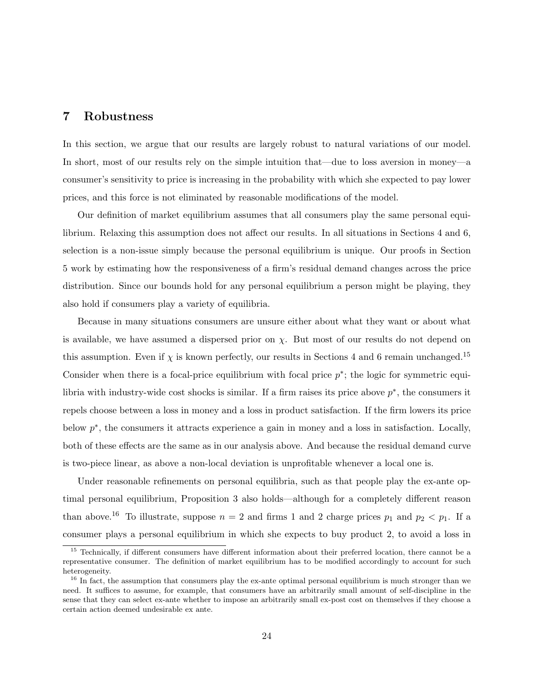### 7 Robustness

In this section, we argue that our results are largely robust to natural variations of our model. In short, most of our results rely on the simple intuition that—due to loss aversion in money—a consumer's sensitivity to price is increasing in the probability with which she expected to pay lower prices, and this force is not eliminated by reasonable modifications of the model.

Our definition of market equilibrium assumes that all consumers play the same personal equilibrium. Relaxing this assumption does not affect our results. In all situations in Sections 4 and 6, selection is a non-issue simply because the personal equilibrium is unique. Our proofs in Section 5 work by estimating how the responsiveness of a firm's residual demand changes across the price distribution. Since our bounds hold for any personal equilibrium a person might be playing, they also hold if consumers play a variety of equilibria.

Because in many situations consumers are unsure either about what they want or about what is available, we have assumed a dispersed prior on  $\chi$ . But most of our results do not depend on this assumption. Even if  $\chi$  is known perfectly, our results in Sections 4 and 6 remain unchanged.<sup>15</sup> Consider when there is a focal-price equilibrium with focal price  $p^*$ ; the logic for symmetric equilibria with industry-wide cost shocks is similar. If a firm raises its price above  $p^*$ , the consumers it repels choose between a loss in money and a loss in product satisfaction. If the firm lowers its price below  $p^*$ , the consumers it attracts experience a gain in money and a loss in satisfaction. Locally, both of these effects are the same as in our analysis above. And because the residual demand curve is two-piece linear, as above a non-local deviation is unprofitable whenever a local one is.

Under reasonable refinements on personal equilibria, such as that people play the ex-ante optimal personal equilibrium, Proposition 3 also holds—although for a completely different reason than above.<sup>16</sup> To illustrate, suppose  $n = 2$  and firms 1 and 2 charge prices  $p_1$  and  $p_2 < p_1$ . If a consumer plays a personal equilibrium in which she expects to buy product 2, to avoid a loss in

<sup>&</sup>lt;sup>15</sup> Technically, if different consumers have different information about their preferred location, there cannot be a representative consumer. The definition of market equilibrium has to be modified accordingly to account for such heterogeneity.

<sup>&</sup>lt;sup>16</sup> In fact, the assumption that consumers play the ex-ante optimal personal equilibrium is much stronger than we need. It suffices to assume, for example, that consumers have an arbitrarily small amount of self-discipline in the sense that they can select ex-ante whether to impose an arbitrarily small ex-post cost on themselves if they choose a certain action deemed undesirable ex ante.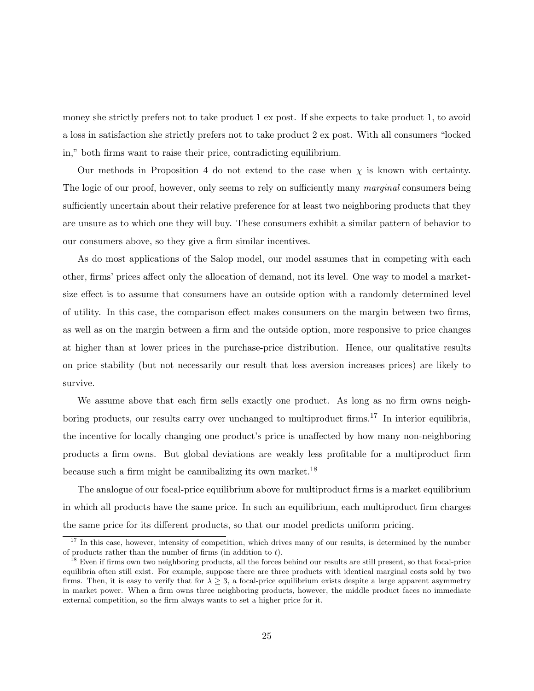money she strictly prefers not to take product 1 ex post. If she expects to take product 1, to avoid a loss in satisfaction she strictly prefers not to take product 2 ex post. With all consumers "locked in," both firms want to raise their price, contradicting equilibrium.

Our methods in Proposition 4 do not extend to the case when  $\chi$  is known with certainty. The logic of our proof, however, only seems to rely on sufficiently many marginal consumers being sufficiently uncertain about their relative preference for at least two neighboring products that they are unsure as to which one they will buy. These consumers exhibit a similar pattern of behavior to our consumers above, so they give a firm similar incentives.

As do most applications of the Salop model, our model assumes that in competing with each other, firms' prices affect only the allocation of demand, not its level. One way to model a marketsize effect is to assume that consumers have an outside option with a randomly determined level of utility. In this case, the comparison effect makes consumers on the margin between two firms, as well as on the margin between a firm and the outside option, more responsive to price changes at higher than at lower prices in the purchase-price distribution. Hence, our qualitative results on price stability (but not necessarily our result that loss aversion increases prices) are likely to survive.

We assume above that each firm sells exactly one product. As long as no firm owns neighboring products, our results carry over unchanged to multiproduct firms.<sup>17</sup> In interior equilibria, the incentive for locally changing one product's price is unaffected by how many non-neighboring products a firm owns. But global deviations are weakly less profitable for a multiproduct firm because such a firm might be cannibalizing its own market.<sup>18</sup>

The analogue of our focal-price equilibrium above for multiproduct firms is a market equilibrium in which all products have the same price. In such an equilibrium, each multiproduct firm charges the same price for its different products, so that our model predicts uniform pricing.

 $17$  In this case, however, intensity of competition, which drives many of our results, is determined by the number of products rather than the number of firms (in addition to  $t$ ).

<sup>&</sup>lt;sup>18</sup> Even if firms own two neighboring products, all the forces behind our results are still present, so that focal-price equilibria often still exist. For example, suppose there are three products with identical marginal costs sold by two firms. Then, it is easy to verify that for  $\lambda \geq 3$ , a focal-price equilibrium exists despite a large apparent asymmetry in market power. When a firm owns three neighboring products, however, the middle product faces no immediate external competition, so the firm always wants to set a higher price for it.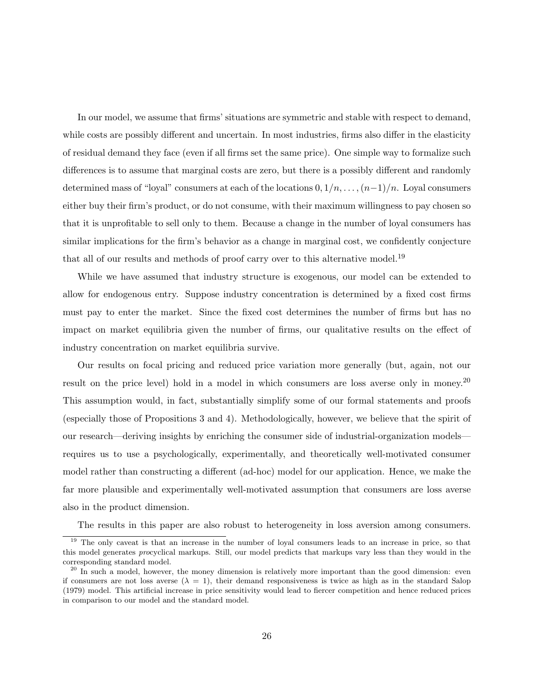In our model, we assume that firms' situations are symmetric and stable with respect to demand, while costs are possibly different and uncertain. In most industries, firms also differ in the elasticity of residual demand they face (even if all firms set the same price). One simple way to formalize such differences is to assume that marginal costs are zero, but there is a possibly different and randomly determined mass of "loyal" consumers at each of the locations  $0, 1/n, \ldots, (n-1)/n$ . Loyal consumers either buy their firm's product, or do not consume, with their maximum willingness to pay chosen so that it is unprofitable to sell only to them. Because a change in the number of loyal consumers has similar implications for the firm's behavior as a change in marginal cost, we confidently conjecture that all of our results and methods of proof carry over to this alternative model.<sup>19</sup>

While we have assumed that industry structure is exogenous, our model can be extended to allow for endogenous entry. Suppose industry concentration is determined by a fixed cost firms must pay to enter the market. Since the fixed cost determines the number of firms but has no impact on market equilibria given the number of firms, our qualitative results on the effect of industry concentration on market equilibria survive.

Our results on focal pricing and reduced price variation more generally (but, again, not our result on the price level) hold in a model in which consumers are loss averse only in money.<sup>20</sup> This assumption would, in fact, substantially simplify some of our formal statements and proofs (especially those of Propositions 3 and 4). Methodologically, however, we believe that the spirit of our research—deriving insights by enriching the consumer side of industrial-organization models requires us to use a psychologically, experimentally, and theoretically well-motivated consumer model rather than constructing a different (ad-hoc) model for our application. Hence, we make the far more plausible and experimentally well-motivated assumption that consumers are loss averse also in the product dimension.

The results in this paper are also robust to heterogeneity in loss aversion among consumers.

<sup>&</sup>lt;sup>19</sup> The only caveat is that an increase in the number of loyal consumers leads to an increase in price, so that this model generates procyclical markups. Still, our model predicts that markups vary less than they would in the corresponding standard model.

 $^{20}$  In such a model, however, the money dimension is relatively more important than the good dimension: even if consumers are not loss averse  $(\lambda = 1)$ , their demand responsiveness is twice as high as in the standard Salop (1979) model. This artificial increase in price sensitivity would lead to fiercer competition and hence reduced prices in comparison to our model and the standard model.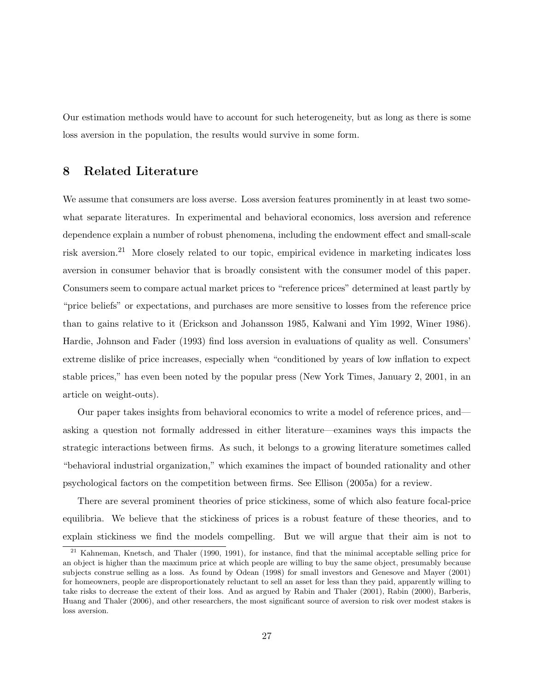Our estimation methods would have to account for such heterogeneity, but as long as there is some loss aversion in the population, the results would survive in some form.

## 8 Related Literature

We assume that consumers are loss averse. Loss aversion features prominently in at least two somewhat separate literatures. In experimental and behavioral economics, loss aversion and reference dependence explain a number of robust phenomena, including the endowment effect and small-scale risk aversion.<sup>21</sup> More closely related to our topic, empirical evidence in marketing indicates loss aversion in consumer behavior that is broadly consistent with the consumer model of this paper. Consumers seem to compare actual market prices to "reference prices" determined at least partly by "price beliefs" or expectations, and purchases are more sensitive to losses from the reference price than to gains relative to it (Erickson and Johansson 1985, Kalwani and Yim 1992, Winer 1986). Hardie, Johnson and Fader (1993) find loss aversion in evaluations of quality as well. Consumers' extreme dislike of price increases, especially when "conditioned by years of low inflation to expect stable prices," has even been noted by the popular press (New York Times, January 2, 2001, in an article on weight-outs).

Our paper takes insights from behavioral economics to write a model of reference prices, and asking a question not formally addressed in either literature—examines ways this impacts the strategic interactions between firms. As such, it belongs to a growing literature sometimes called "behavioral industrial organization," which examines the impact of bounded rationality and other psychological factors on the competition between firms. See Ellison (2005a) for a review.

There are several prominent theories of price stickiness, some of which also feature focal-price equilibria. We believe that the stickiness of prices is a robust feature of these theories, and to explain stickiness we find the models compelling. But we will argue that their aim is not to

<sup>21</sup> Kahneman, Knetsch, and Thaler (1990, 1991), for instance, find that the minimal acceptable selling price for an object is higher than the maximum price at which people are willing to buy the same object, presumably because subjects construe selling as a loss. As found by Odean (1998) for small investors and Genesove and Mayer (2001) for homeowners, people are disproportionately reluctant to sell an asset for less than they paid, apparently willing to take risks to decrease the extent of their loss. And as argued by Rabin and Thaler (2001), Rabin (2000), Barberis, Huang and Thaler (2006), and other researchers, the most significant source of aversion to risk over modest stakes is loss aversion.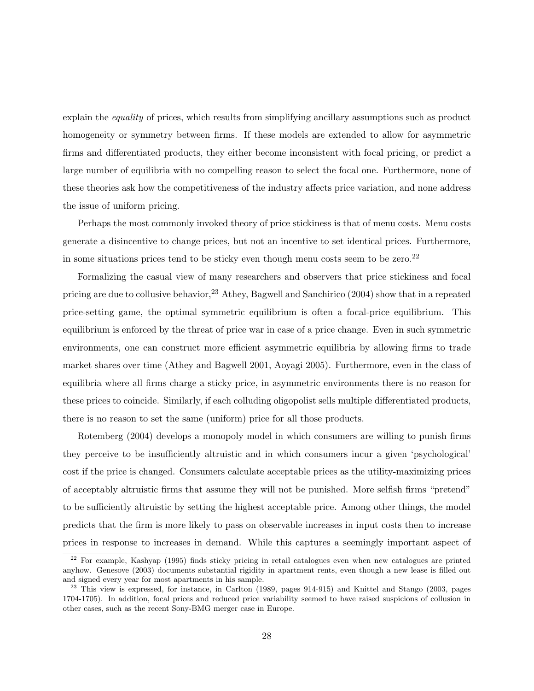explain the *equality* of prices, which results from simplifying ancillary assumptions such as product homogeneity or symmetry between firms. If these models are extended to allow for asymmetric firms and differentiated products, they either become inconsistent with focal pricing, or predict a large number of equilibria with no compelling reason to select the focal one. Furthermore, none of these theories ask how the competitiveness of the industry affects price variation, and none address the issue of uniform pricing.

Perhaps the most commonly invoked theory of price stickiness is that of menu costs. Menu costs generate a disincentive to change prices, but not an incentive to set identical prices. Furthermore, in some situations prices tend to be sticky even though menu costs seem to be zero. $22$ 

Formalizing the casual view of many researchers and observers that price stickiness and focal pricing are due to collusive behavior,  $23$  Athey, Bagwell and Sanchirico (2004) show that in a repeated price-setting game, the optimal symmetric equilibrium is often a focal-price equilibrium. This equilibrium is enforced by the threat of price war in case of a price change. Even in such symmetric environments, one can construct more efficient asymmetric equilibria by allowing firms to trade market shares over time (Athey and Bagwell 2001, Aoyagi 2005). Furthermore, even in the class of equilibria where all firms charge a sticky price, in asymmetric environments there is no reason for these prices to coincide. Similarly, if each colluding oligopolist sells multiple differentiated products, there is no reason to set the same (uniform) price for all those products.

Rotemberg (2004) develops a monopoly model in which consumers are willing to punish firms they perceive to be insufficiently altruistic and in which consumers incur a given 'psychological' cost if the price is changed. Consumers calculate acceptable prices as the utility-maximizing prices of acceptably altruistic firms that assume they will not be punished. More selfish firms "pretend" to be sufficiently altruistic by setting the highest acceptable price. Among other things, the model predicts that the firm is more likely to pass on observable increases in input costs then to increase prices in response to increases in demand. While this captures a seemingly important aspect of

<sup>&</sup>lt;sup>22</sup> For example, Kashyap (1995) finds sticky pricing in retail catalogues even when new catalogues are printed anyhow. Genesove (2003) documents substantial rigidity in apartment rents, even though a new lease is filled out and signed every year for most apartments in his sample.

<sup>&</sup>lt;sup>23</sup> This view is expressed, for instance, in Carlton (1989, pages 914-915) and Knittel and Stango (2003, pages 1704-1705). In addition, focal prices and reduced price variability seemed to have raised suspicions of collusion in other cases, such as the recent Sony-BMG merger case in Europe.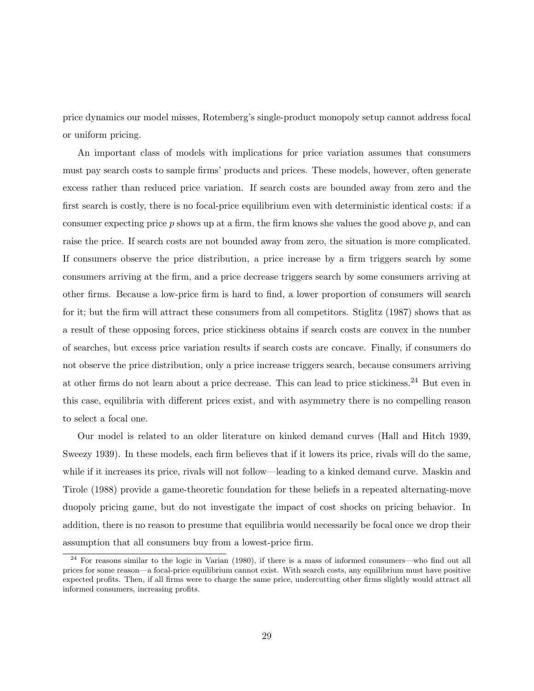price dynamics our model misses, Rotemberg's single-product monopoly setup cannot address focal or uniform pricing.

An important class of models with implications for price variation assumes that consumers must pay search costs to sample firms' products and prices. These models, however, often generate excess rather than reduced price variation. If search costs are bounded away from zero and the first search is costly, there is no focal-price equilibrium even with deterministic identical costs: if a consumer expecting price  $p$  shows up at a firm, the firm knows she values the good above  $p$ , and can raise the price. If search costs are not bounded away from zero, the situation is more complicated. If consumers observe the price distribution, a price increase by a firm triggers search by some consumers arriving at the firm, and a price decrease triggers search by some consumers arriving at other firms. Because a low-price firm is hard to find, a lower proportion of consumers will search for it; but the firm will attract these consumers from all competitors. Stiglitz (1987) shows that as a result of these opposing forces, price stickiness obtains if search costs are convex in the number of searches, but excess price variation results if search costs are concave. Finally, if consumers do not observe the price distribution, only a price increase triggers search, because consumers arriving at other firms do not learn about a price decrease. This can lead to price stickiness.<sup>24</sup> But even in this case, equilibria with different prices exist, and with asymmetry there is no compelling reason to select a focal one.

Our model is related to an older literature on kinked demand curves (Hall and Hitch 1939, Sweezy 1939). In these models, each firm believes that if it lowers its price, rivals will do the same, while if it increases its price, rivals will not follow—leading to a kinked demand curve. Maskin and Tirole (1988) provide a game-theoretic foundation for these beliefs in a repeated alternating-move duopoly pricing game, but do not investigate the impact of cost shocks on pricing behavior. In addition, there is no reason to presume that equilibria would necessarily be focal once we drop their assumption that all consumers buy from a lowest-price firm.

<sup>&</sup>lt;sup>24</sup> For reasons similar to the logic in Varian (1980), if there is a mass of informed consumers—who find out all prices for some reason—a focal-price equilibrium cannot exist. With search costs, any equilibrium must have positive expected profits. Then, if all firms were to charge the same price, undercutting other firms slightly would attract all informed consumers, increasing profits.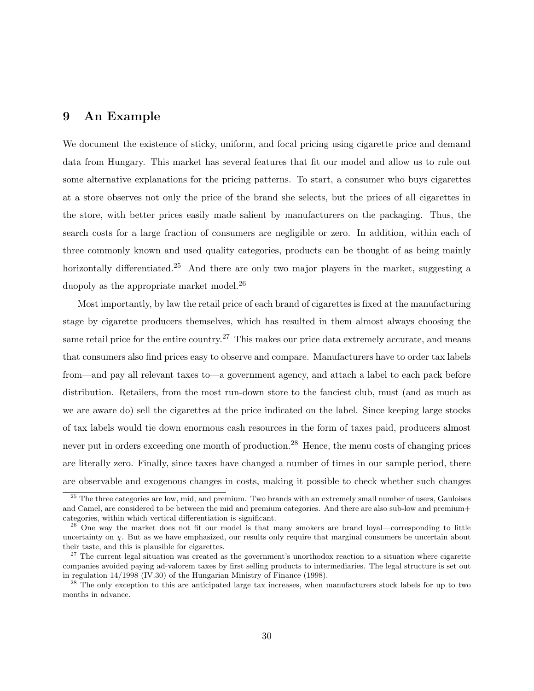## 9 An Example

We document the existence of sticky, uniform, and focal pricing using cigarette price and demand data from Hungary. This market has several features that fit our model and allow us to rule out some alternative explanations for the pricing patterns. To start, a consumer who buys cigarettes at a store observes not only the price of the brand she selects, but the prices of all cigarettes in the store, with better prices easily made salient by manufacturers on the packaging. Thus, the search costs for a large fraction of consumers are negligible or zero. In addition, within each of three commonly known and used quality categories, products can be thought of as being mainly horizontally differentiated.<sup>25</sup> And there are only two major players in the market, suggesting a duopoly as the appropriate market model.<sup>26</sup>

Most importantly, by law the retail price of each brand of cigarettes is fixed at the manufacturing stage by cigarette producers themselves, which has resulted in them almost always choosing the same retail price for the entire country.<sup>27</sup> This makes our price data extremely accurate, and means that consumers also find prices easy to observe and compare. Manufacturers have to order tax labels from—and pay all relevant taxes to—a government agency, and attach a label to each pack before distribution. Retailers, from the most run-down store to the fanciest club, must (and as much as we are aware do) sell the cigarettes at the price indicated on the label. Since keeping large stocks of tax labels would tie down enormous cash resources in the form of taxes paid, producers almost never put in orders exceeding one month of production.<sup>28</sup> Hence, the menu costs of changing prices are literally zero. Finally, since taxes have changed a number of times in our sample period, there are observable and exogenous changes in costs, making it possible to check whether such changes

<sup>&</sup>lt;sup>25</sup> The three categories are low, mid, and premium. Two brands with an extremely small number of users, Gauloises and Camel, are considered to be between the mid and premium categories. And there are also sub-low and premium+ categories, within which vertical differentiation is significant.

<sup>&</sup>lt;sup>26</sup> One way the market does not fit our model is that many smokers are brand loyal—corresponding to little uncertainty on  $\chi$ . But as we have emphasized, our results only require that marginal consumers be uncertain about their taste, and this is plausible for cigarettes.

 $27$  The current legal situation was created as the government's unorthodox reaction to a situation where cigarette companies avoided paying ad-valorem taxes by first selling products to intermediaries. The legal structure is set out in regulation 14/1998 (IV.30) of the Hungarian Ministry of Finance (1998).

<sup>&</sup>lt;sup>28</sup> The only exception to this are anticipated large tax increases, when manufacturers stock labels for up to two months in advance.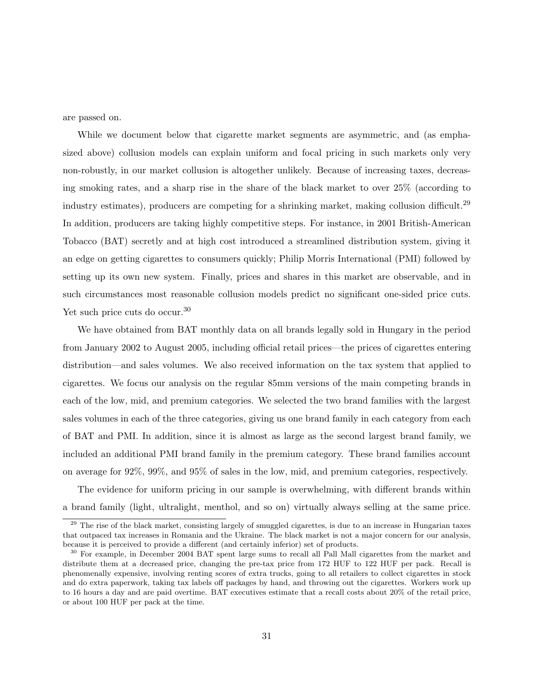are passed on.

While we document below that cigarette market segments are asymmetric, and (as emphasized above) collusion models can explain uniform and focal pricing in such markets only very non-robustly, in our market collusion is altogether unlikely. Because of increasing taxes, decreasing smoking rates, and a sharp rise in the share of the black market to over 25% (according to industry estimates), producers are competing for a shrinking market, making collusion difficult.<sup>29</sup> In addition, producers are taking highly competitive steps. For instance, in 2001 British-American Tobacco (BAT) secretly and at high cost introduced a streamlined distribution system, giving it an edge on getting cigarettes to consumers quickly; Philip Morris International (PMI) followed by setting up its own new system. Finally, prices and shares in this market are observable, and in such circumstances most reasonable collusion models predict no significant one-sided price cuts. Yet such price cuts do occur.<sup>30</sup>

We have obtained from BAT monthly data on all brands legally sold in Hungary in the period from January 2002 to August 2005, including official retail prices—the prices of cigarettes entering distribution—and sales volumes. We also received information on the tax system that applied to cigarettes. We focus our analysis on the regular 85mm versions of the main competing brands in each of the low, mid, and premium categories. We selected the two brand families with the largest sales volumes in each of the three categories, giving us one brand family in each category from each of BAT and PMI. In addition, since it is almost as large as the second largest brand family, we included an additional PMI brand family in the premium category. These brand families account on average for 92%, 99%, and 95% of sales in the low, mid, and premium categories, respectively.

The evidence for uniform pricing in our sample is overwhelming, with different brands within a brand family (light, ultralight, menthol, and so on) virtually always selling at the same price.

<sup>&</sup>lt;sup>29</sup> The rise of the black market, consisting largely of smuggled cigarettes, is due to an increase in Hungarian taxes that outpaced tax increases in Romania and the Ukraine. The black market is not a major concern for our analysis, because it is perceived to provide a different (and certainly inferior) set of products.

<sup>&</sup>lt;sup>30</sup> For example, in December 2004 BAT spent large sums to recall all Pall Mall cigarettes from the market and distribute them at a decreased price, changing the pre-tax price from 172 HUF to 122 HUF per pack. Recall is phenomenally expensive, involving renting scores of extra trucks, going to all retailers to collect cigarettes in stock and do extra paperwork, taking tax labels off packages by hand, and throwing out the cigarettes. Workers work up to 16 hours a day and are paid overtime. BAT executives estimate that a recall costs about 20% of the retail price, or about 100 HUF per pack at the time.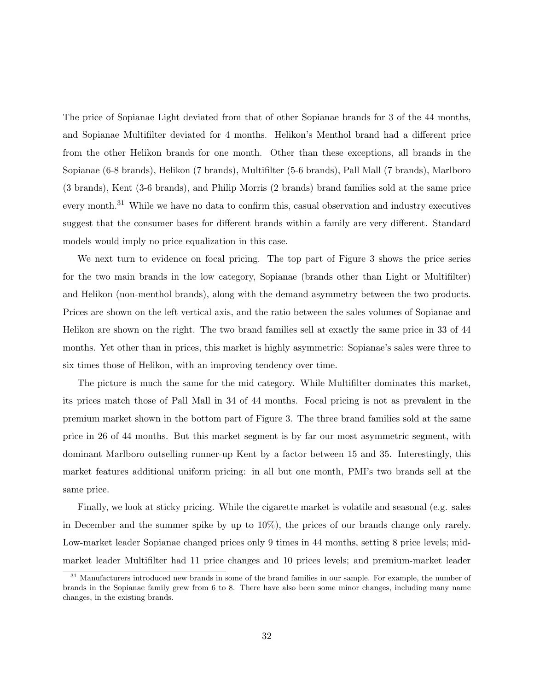The price of Sopianae Light deviated from that of other Sopianae brands for 3 of the 44 months, and Sopianae Multifilter deviated for 4 months. Helikon's Menthol brand had a different price from the other Helikon brands for one month. Other than these exceptions, all brands in the Sopianae (6-8 brands), Helikon (7 brands), Multifilter (5-6 brands), Pall Mall (7 brands), Marlboro (3 brands), Kent (3-6 brands), and Philip Morris (2 brands) brand families sold at the same price every month.<sup>31</sup> While we have no data to confirm this, casual observation and industry executives suggest that the consumer bases for different brands within a family are very different. Standard models would imply no price equalization in this case.

We next turn to evidence on focal pricing. The top part of Figure 3 shows the price series for the two main brands in the low category, Sopianae (brands other than Light or Multifilter) and Helikon (non-menthol brands), along with the demand asymmetry between the two products. Prices are shown on the left vertical axis, and the ratio between the sales volumes of Sopianae and Helikon are shown on the right. The two brand families sell at exactly the same price in 33 of 44 months. Yet other than in prices, this market is highly asymmetric: Sopianae's sales were three to six times those of Helikon, with an improving tendency over time.

The picture is much the same for the mid category. While Multifilter dominates this market, its prices match those of Pall Mall in 34 of 44 months. Focal pricing is not as prevalent in the premium market shown in the bottom part of Figure 3. The three brand families sold at the same price in 26 of 44 months. But this market segment is by far our most asymmetric segment, with dominant Marlboro outselling runner-up Kent by a factor between 15 and 35. Interestingly, this market features additional uniform pricing: in all but one month, PMI's two brands sell at the same price.

Finally, we look at sticky pricing. While the cigarette market is volatile and seasonal (e.g. sales in December and the summer spike by up to 10%), the prices of our brands change only rarely. Low-market leader Sopianae changed prices only 9 times in 44 months, setting 8 price levels; midmarket leader Multifilter had 11 price changes and 10 prices levels; and premium-market leader

<sup>31</sup> Manufacturers introduced new brands in some of the brand families in our sample. For example, the number of brands in the Sopianae family grew from 6 to 8. There have also been some minor changes, including many name changes, in the existing brands.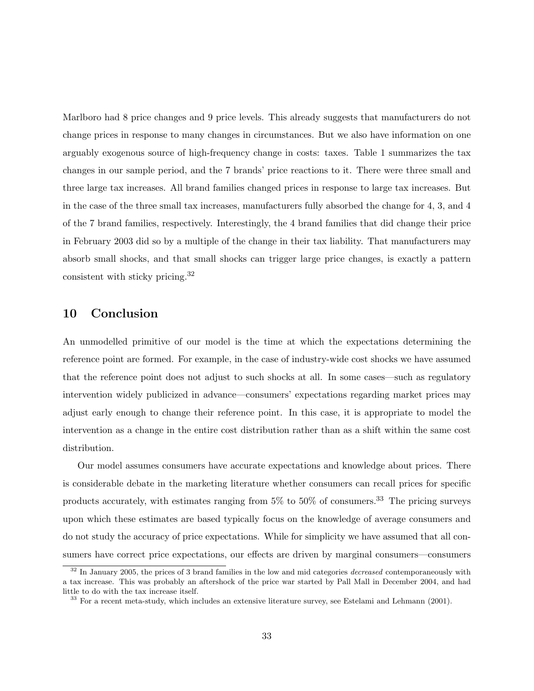Marlboro had 8 price changes and 9 price levels. This already suggests that manufacturers do not change prices in response to many changes in circumstances. But we also have information on one arguably exogenous source of high-frequency change in costs: taxes. Table 1 summarizes the tax changes in our sample period, and the 7 brands' price reactions to it. There were three small and three large tax increases. All brand families changed prices in response to large tax increases. But in the case of the three small tax increases, manufacturers fully absorbed the change for 4, 3, and 4 of the 7 brand families, respectively. Interestingly, the 4 brand families that did change their price in February 2003 did so by a multiple of the change in their tax liability. That manufacturers may absorb small shocks, and that small shocks can trigger large price changes, is exactly a pattern consistent with sticky pricing.<sup>32</sup>

## 10 Conclusion

An unmodelled primitive of our model is the time at which the expectations determining the reference point are formed. For example, in the case of industry-wide cost shocks we have assumed that the reference point does not adjust to such shocks at all. In some cases—such as regulatory intervention widely publicized in advance—consumers' expectations regarding market prices may adjust early enough to change their reference point. In this case, it is appropriate to model the intervention as a change in the entire cost distribution rather than as a shift within the same cost distribution.

Our model assumes consumers have accurate expectations and knowledge about prices. There is considerable debate in the marketing literature whether consumers can recall prices for specific products accurately, with estimates ranging from  $5\%$  to  $50\%$  of consumers.<sup>33</sup> The pricing surveys upon which these estimates are based typically focus on the knowledge of average consumers and do not study the accuracy of price expectations. While for simplicity we have assumed that all consumers have correct price expectations, our effects are driven by marginal consumers—consumers

 $32$  In January 2005, the prices of 3 brand families in the low and mid categories *decreased* contemporaneously with a tax increase. This was probably an aftershock of the price war started by Pall Mall in December 2004, and had little to do with the tax increase itself.

<sup>&</sup>lt;sup>33</sup> For a recent meta-study, which includes an extensive literature survey, see Estelami and Lehmann (2001).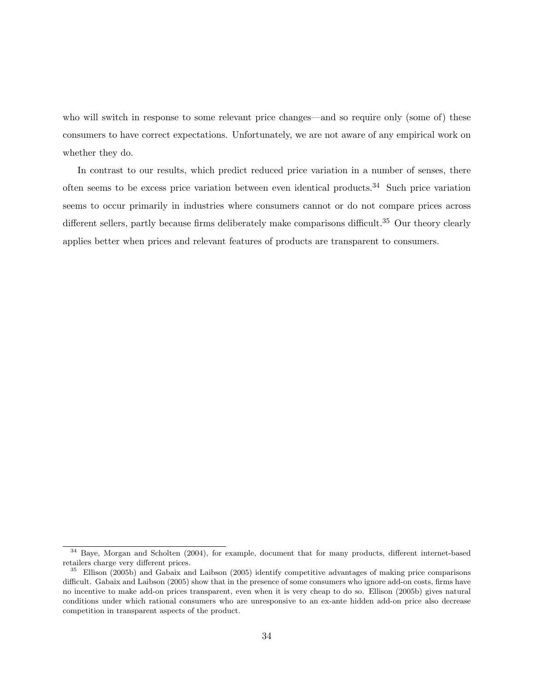who will switch in response to some relevant price changes—and so require only (some of) these consumers to have correct expectations. Unfortunately, we are not aware of any empirical work on whether they do.

In contrast to our results, which predict reduced price variation in a number of senses, there often seems to be excess price variation between even identical products.<sup>34</sup> Such price variation seems to occur primarily in industries where consumers cannot or do not compare prices across different sellers, partly because firms deliberately make comparisons difficult.<sup>35</sup> Our theory clearly applies better when prices and relevant features of products are transparent to consumers.

 $34$  Baye, Morgan and Scholten (2004), for example, document that for many products, different internet-based retailers charge very different prices.

<sup>35</sup> Ellison (2005b) and Gabaix and Laibson (2005) identify competitive advantages of making price comparisons difficult. Gabaix and Laibson (2005) show that in the presence of some consumers who ignore add-on costs, firms have no incentive to make add-on prices transparent, even when it is very cheap to do so. Ellison (2005b) gives natural conditions under which rational consumers who are unresponsive to an ex-ante hidden add-on price also decrease competition in transparent aspects of the product.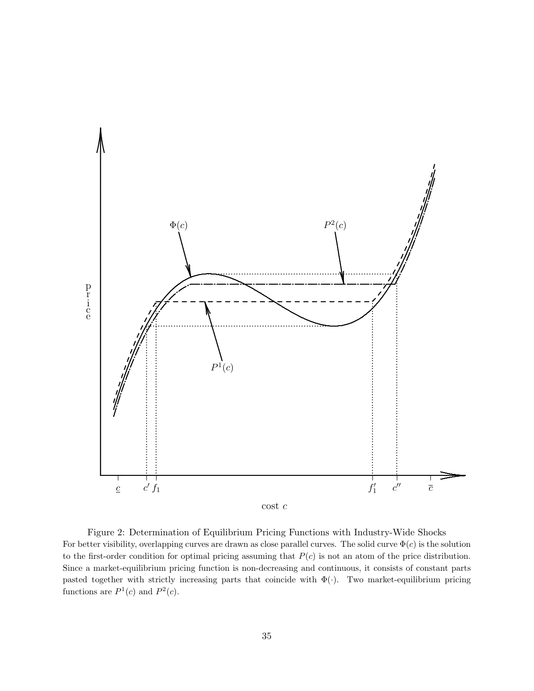

Figure 2: Determination of Equilibrium Pricing Functions with Industry-Wide Shocks For better visibility, overlapping curves are drawn as close parallel curves. The solid curve  $\Phi(c)$  is the solution to the first-order condition for optimal pricing assuming that  $P(c)$  is not an atom of the price distribution. Since a market-equilibrium pricing function is non-decreasing and continuous, it consists of constant parts pasted together with strictly increasing parts that coincide with  $\Phi(\cdot)$ . Two market-equilibrium pricing functions are  $P^1(c)$  and  $P^2(c)$ .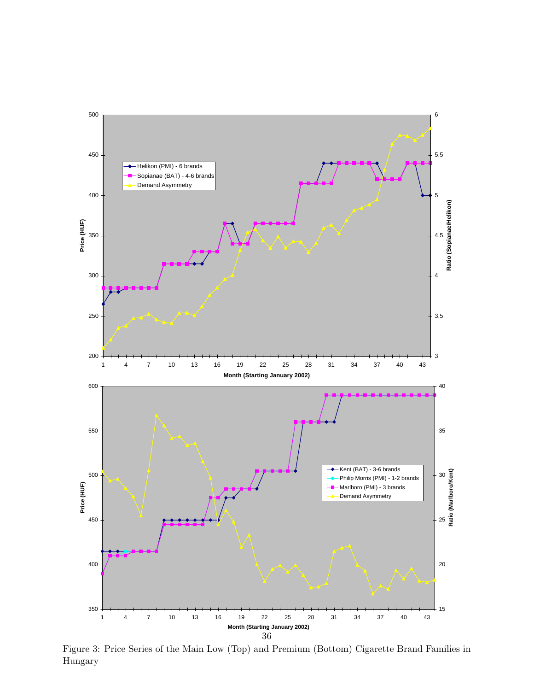

Figure 3: Price Series of the Main Low (Top) and Premium (Bottom) Cigarette Brand Families in Hungary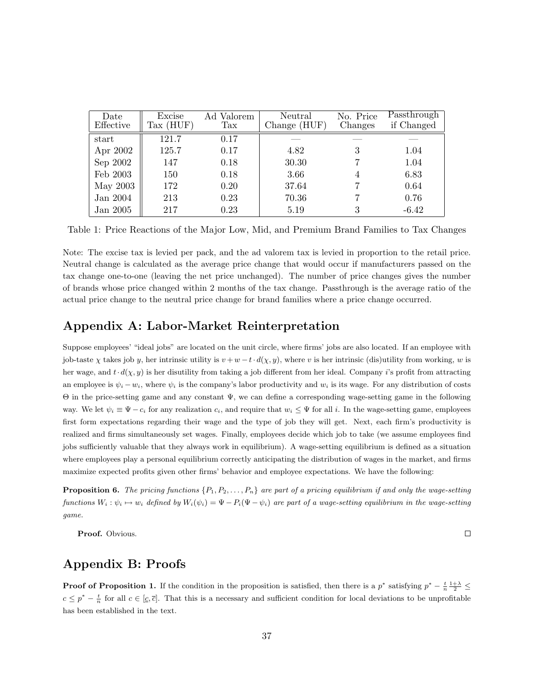| Date<br>Effective | Excise<br>$\text{Tax (HUF)}$ | Ad Valorem<br>$\operatorname{Tax}$ | Neutral<br>Change (HUF) | No. Price<br>Changes | Passthrough<br>if Changed |
|-------------------|------------------------------|------------------------------------|-------------------------|----------------------|---------------------------|
| start             | 121.7                        | 0.17                               |                         |                      |                           |
| Apr 2002          | 125.7                        | 0.17                               | 4.82                    | 3                    | 1.04                      |
| Sep 2002          | 147                          | 0.18                               | 30.30                   |                      | 1.04                      |
| Feb 2003          | 150                          | 0.18                               | 3.66                    | 4                    | 6.83                      |
| May 2003          | 172                          | 0.20                               | 37.64                   |                      | 0.64                      |
| Jan 2004          | 213                          | 0.23                               | 70.36                   |                      | 0.76                      |
| Jan 2005          | 217                          | 0.23                               | 5.19                    | 3                    | $-6.42$                   |

Table 1: Price Reactions of the Major Low, Mid, and Premium Brand Families to Tax Changes

Note: The excise tax is levied per pack, and the ad valorem tax is levied in proportion to the retail price. Neutral change is calculated as the average price change that would occur if manufacturers passed on the tax change one-to-one (leaving the net price unchanged). The number of price changes gives the number of brands whose price changed within 2 months of the tax change. Passthrough is the average ratio of the actual price change to the neutral price change for brand families where a price change occurred.

## Appendix A: Labor-Market Reinterpretation

Suppose employees' "ideal jobs" are located on the unit circle, where firms' jobs are also located. If an employee with job-taste  $\chi$  takes job y, her intrinsic utility is  $v + w - t \cdot d(\chi, y)$ , where v is her intrinsic (dis)utility from working, w is her wage, and  $t \cdot d(\chi, y)$  is her disutility from taking a job different from her ideal. Company i's profit from attracting an employee is  $\psi_i - w_i$ , where  $\psi_i$  is the company's labor productivity and  $w_i$  is its wage. For any distribution of costs Θ in the price-setting game and any constant Ψ, we can define a corresponding wage-setting game in the following way. We let  $\psi_i \equiv \Psi - c_i$  for any realization  $c_i$ , and require that  $w_i \leq \Psi$  for all i. In the wage-setting game, employees first form expectations regarding their wage and the type of job they will get. Next, each firm's productivity is realized and firms simultaneously set wages. Finally, employees decide which job to take (we assume employees find jobs sufficiently valuable that they always work in equilibrium). A wage-setting equilibrium is defined as a situation where employees play a personal equilibrium correctly anticipating the distribution of wages in the market, and firms maximize expected profits given other firms' behavior and employee expectations. We have the following:

**Proposition 6.** The pricing functions  $\{P_1, P_2, \ldots, P_n\}$  are part of a pricing equilibrium if and only the wage-setting functions  $W_i : \psi_i \mapsto w_i$  defined by  $W_i(\psi_i) = \Psi - P_i(\Psi - \psi_i)$  are part of a wage-setting equilibrium in the wage-setting game.

 $\Box$ 

Proof. Obvious.

### Appendix B: Proofs

**Proof of Proposition 1.** If the condition in the proposition is satisfied, then there is a  $p^*$  satisfying  $p^* - \frac{t}{n} \frac{1+\lambda}{2} \leq$  $c \leq p^* - \frac{t}{n}$  for all  $c \in [\underline{c}, \overline{c}]$ . That this is a necessary and sufficient condition for local deviations to be unprofitable has been established in the text.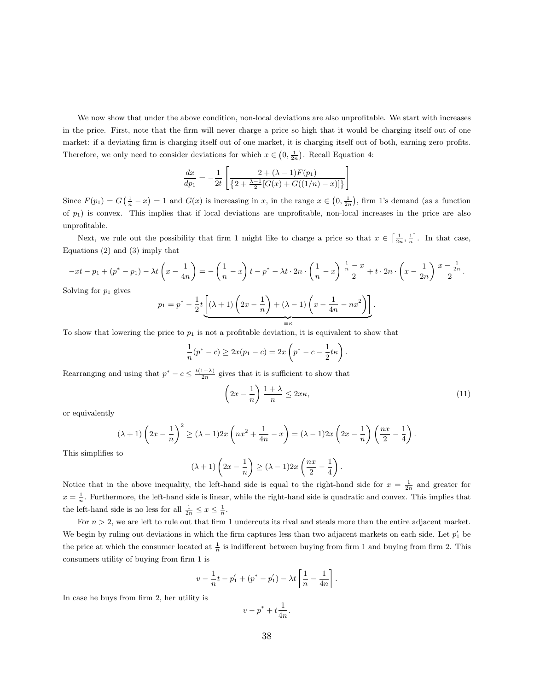We now show that under the above condition, non-local deviations are also unprofitable. We start with increases in the price. First, note that the firm will never charge a price so high that it would be charging itself out of one market: if a deviating firm is charging itself out of one market, it is charging itself out of both, earning zero profits. Therefore, we only need to consider deviations for which  $x \in \left(0, \frac{1}{2n}\right)$ . Recall Equation 4:

$$
\frac{dx}{dp_1} = -\frac{1}{2t} \left[ \frac{2 + (\lambda - 1)F(p_1)}{\left\{2 + \frac{\lambda - 1}{2} [G(x) + G((1/n) - x)]\right\}} \right]
$$

Since  $F(p_1) = G(\frac{1}{n} - x) = 1$  and  $G(x)$  is increasing in x, in the range  $x \in (0, \frac{1}{2n})$ , firm 1's demand (as a function of  $p_1$ ) is convex. This implies that if local deviations are unprofitable, non-local increases in the price are also unprofitable.

Next, we rule out the possibility that firm 1 might like to charge a price so that  $x \in \left[\frac{1}{2n}, \frac{1}{n}\right]$ . In that case, Equations (2) and (3) imply that

$$
-xt - p_1 + (p^* - p_1) - \lambda t \left(x - \frac{1}{4n}\right) = -\left(\frac{1}{n} - x\right)t - p^* - \lambda t \cdot 2n \cdot \left(\frac{1}{n} - x\right) \frac{\frac{1}{n} - x}{2} + t \cdot 2n \cdot \left(x - \frac{1}{2n}\right) \frac{x - \frac{1}{2n}}{2}.
$$

Solving for  $p_1$  gives

$$
p_1 = p^* - \frac{1}{2}t \underbrace{\left[ (\lambda + 1) \left( 2x - \frac{1}{n} \right) + (\lambda - 1) \left( x - \frac{1}{4n} - nx^2 \right) \right]}_{\equiv \kappa}.
$$

To show that lowering the price to  $p_1$  is not a profitable deviation, it is equivalent to show that

$$
\frac{1}{n}(p^* - c) \ge 2x(p_1 - c) = 2x\left(p^* - c - \frac{1}{2}t\kappa\right).
$$

Rearranging and using that  $p^* - c \leq \frac{t(1+\lambda)}{2n}$  gives that it is sufficient to show that

$$
\left(2x - \frac{1}{n}\right) \frac{1+\lambda}{n} \le 2x\kappa,\tag{11}
$$

or equivalently

$$
(\lambda+1)\left(2x-\frac{1}{n}\right)^2 \ge (\lambda-1)2x\left(nx^2+\frac{1}{4n}-x\right)=(\lambda-1)2x\left(2x-\frac{1}{n}\right)\left(\frac{nx}{2}-\frac{1}{4}\right).
$$

This simplifies to

$$
(\lambda+1)\left(2x-\frac{1}{n}\right) \geq (\lambda-1)2x\left(\frac{nx}{2}-\frac{1}{4}\right).
$$

Notice that in the above inequality, the left-hand side is equal to the right-hand side for  $x = \frac{1}{2n}$  and greater for  $x = \frac{1}{n}$ . Furthermore, the left-hand side is linear, while the right-hand side is quadratic and convex. This implies that the left-hand side is no less for all  $\frac{1}{2n} \leq x \leq \frac{1}{n}$ .

For  $n > 2$ , we are left to rule out that firm 1 undercuts its rival and steals more than the entire adjacent market. We begin by ruling out deviations in which the firm captures less than two adjacent markets on each side. Let  $p'_1$  be the price at which the consumer located at  $\frac{1}{n}$  is indifferent between buying from firm 1 and buying from firm 2. This consumers utility of buying from firm 1 is

$$
v - \frac{1}{n}t - p'_1 + (p^* - p'_1) - \lambda t \left[ \frac{1}{n} - \frac{1}{4n} \right].
$$

In case he buys from firm 2, her utility is

$$
v - p^* + t \frac{1}{4n}.
$$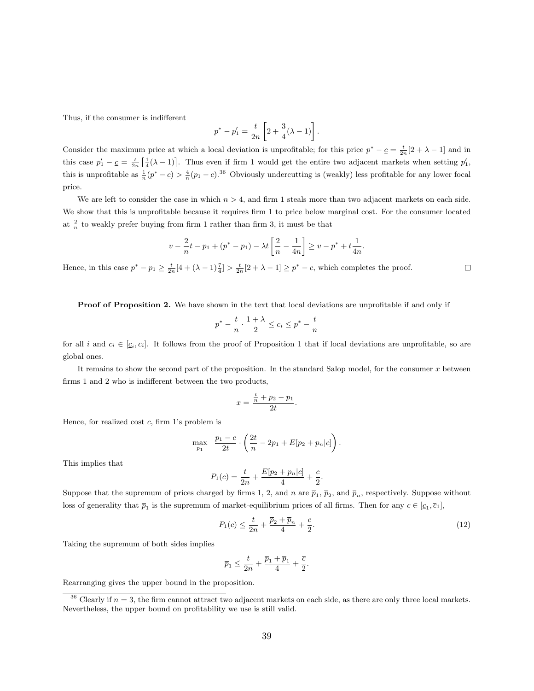Thus, if the consumer is indifferent

$$
p^* - p_1' = \frac{t}{2n} \left[ 2 + \frac{3}{4} (\lambda - 1) \right].
$$

Consider the maximum price at which a local deviation is unprofitable; for this price  $p^* - \underline{c} = \frac{t}{2n}[2 + \lambda - 1]$  and in this case  $p'_1 - \underline{c} = \frac{t}{2n} \left[ \frac{1}{4} (\lambda - 1) \right]$ . Thus even if firm 1 would get the entire two adjacent markets when setting  $p'_1$ , this is unprofitable as  $\frac{1}{n}(p^* - \underline{c}) > \frac{4}{n}(p_1 - \underline{c})^{36}$  Obviously undercutting is (weakly) less profitable for any lower focal price.

We are left to consider the case in which  $n > 4$ , and firm 1 steals more than two adjacent markets on each side. We show that this is unprofitable because it requires firm 1 to price below marginal cost. For the consumer located at  $\frac{2}{n}$  to weakly prefer buying from firm 1 rather than firm 3, it must be that

$$
v - \frac{2}{n}t - p_1 + (p^* - p_1) - \lambda t \left[ \frac{2}{n} - \frac{1}{4n} \right] \ge v - p^* + t \frac{1}{4n}.
$$

Hence, in this case  $p^* - p_1 \ge \frac{t}{2n} [4 + (\lambda - 1)\frac{7}{4}] > \frac{t}{2n} [2 + \lambda - 1] \ge p^* - c$ , which completes the proof.

Proof of Proposition 2. We have shown in the text that local deviations are unprofitable if and only if

$$
p^* - \frac{t}{n} \cdot \frac{1+\lambda}{2} \le c_i \le p^* - \frac{t}{n}
$$

for all i and  $c_i \in [\underline{c}_i, \overline{c}_i]$ . It follows from the proof of Proposition 1 that if local deviations are unprofitable, so are global ones.

It remains to show the second part of the proposition. In the standard Salop model, for the consumer  $x$  between firms 1 and 2 who is indifferent between the two products,

$$
x = \frac{\frac{t}{n} + p_2 - p_1}{2t}.
$$

Hence, for realized cost  $c$ , firm 1's problem is

$$
\max_{p_1} \quad \frac{p_1-c}{2t} \cdot \left(\frac{2t}{n} - 2p_1 + E[p_2 + p_n|c]\right).
$$

This implies that

$$
P_1(c) = \frac{t}{2n} + \frac{E[p_2 + p_n|c]}{4} + \frac{c}{2}.
$$

Suppose that the supremum of prices charged by firms 1, 2, and n are  $\bar{p}_1$ ,  $\bar{p}_2$ , and  $\bar{p}_n$ , respectively. Suppose without loss of generality that  $\bar{p}_1$  is the supremum of market-equilibrium prices of all firms. Then for any  $c \in [\underline{c}_1, \bar{c}_1]$ ,

$$
P_1(c) \le \frac{t}{2n} + \frac{\bar{p}_2 + \bar{p}_n}{4} + \frac{c}{2}.
$$
\n(12)

Taking the supremum of both sides implies

$$
\overline{p}_1 \le \frac{t}{2n} + \frac{\overline{p}_1 + \overline{p}_1}{4} + \frac{\overline{c}}{2}.
$$

Rearranging gives the upper bound in the proposition.

 $\Box$ 

 $36$  Clearly if  $n = 3$ , the firm cannot attract two adjacent markets on each side, as there are only three local markets. Nevertheless, the upper bound on profitability we use is still valid.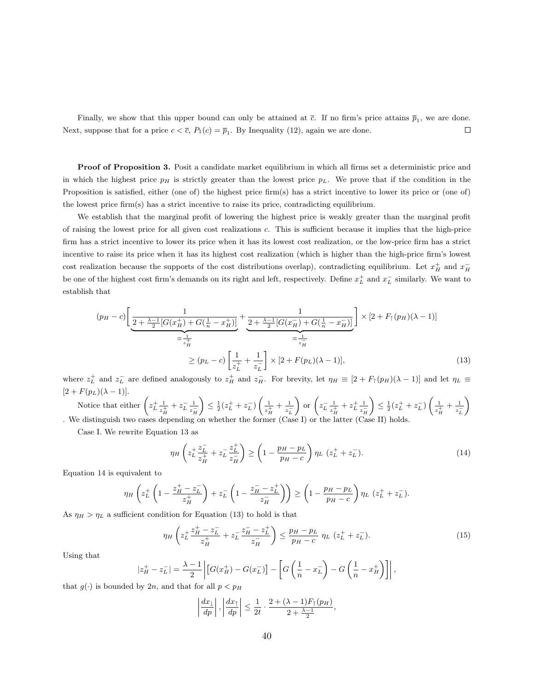Finally, we show that this upper bound can only be attained at  $\bar{c}$ . If no firm's price attains  $\bar{p}_1$ , we are done. Next, suppose that for a price  $c < \overline{c}$ ,  $P_1(c) = \overline{p}_1$ . By Inequality (12), again we are done.  $\Box$ 

Proof of Proposition 3. Posit a candidate market equilibrium in which all firms set a deterministic price and in which the highest price  $p<sub>H</sub>$  is strictly greater than the lowest price  $p<sub>L</sub>$ . We prove that if the condition in the Proposition is satisfied, either (one of) the highest price firm(s) has a strict incentive to lower its price or (one of) the lowest price firm(s) has a strict incentive to raise its price, contradicting equilibrium.

We establish that the marginal profit of lowering the highest price is weakly greater than the marginal profit of raising the lowest price for all given cost realizations c. This is sufficient because it implies that the high-price firm has a strict incentive to lower its price when it has its lowest cost realization, or the low-price firm has a strict incentive to raise its price when it has its highest cost realization (which is higher than the high-price firm's lowest cost realization because the supports of the cost distributions overlap), contradicting equilibrium. Let  $x_H^+$  and  $x_H^$ be one of the highest cost firm's demands on its right and left, respectively. Define  $x_L^+$  and  $x_L^-$  similarly. We want to establish that

$$
(p_H - c) \left[ \frac{1}{2 + \frac{\lambda - 1}{2} [G(x_H^+) + G(\frac{1}{n} - x_H^+)]} + \frac{1}{2 + \frac{\lambda - 1}{2} [G(x_H^-) + G(\frac{1}{n} - x_H^-)]} \right] \times [2 + F_{\uparrow}(p_H)(\lambda - 1)]
$$
  

$$
= \frac{1}{z_H^+}
$$
  

$$
\ge (p_L - c) \left[ \frac{1}{z_L^+} + \frac{1}{z_L^-} \right] \times [2 + F(p_L)(\lambda - 1)],
$$
 (13)

where  $z_L^+$  and  $z_L^-$  are defined analogously to  $z_H^+$  and  $z_H^-$ . For brevity, let  $\eta_H \equiv [2 + F_{\uparrow}(p_H)(\lambda - 1)]$  and let  $\eta_L \equiv$  $[2 + F(p_L)(\lambda - 1)].$ 

Notice that either  $\left(z_L^+\right)$  $\frac{1}{z_H^+} + z_L^- \frac{1}{z_I^-}$  $\overline{z_{H}^{-}}$  $\Big) \leq \frac{1}{2}(z_L^+ + z_L^-) \left( \frac{1}{z^{\frac{1}{2}}} \right)$  $\frac{1}{z_{H}^{+}} + \frac{1}{z_{L}^{-}}$  $\overline{z_L^-}$  $\Big)$  or  $\Big(z_{L}^{-} \frac{1}{z^{+}}\Big)$  $\frac{1}{z_H^+} + z_L^+ \frac{1}{z_R^-}$  $z_{H}^{-}$  $\Big) \leq \frac{1}{2}(z_L^+ + z_L^-) \left( \frac{1}{z^{\frac{1}{2}}} \right)$  $\frac{1}{z_{H}^{+}} + \frac{1}{z_{I}^{-}}$  $\overline{z_L^-}$ <sup>1</sup> . We distinguish two cases depending on whether the former (Case I) or the latter (Case II) holds.

Case I. We rewrite Equation 13 as

$$
\eta_H \left( z_L^+ \frac{z_L^-}{z_H^+} + z_L^- \frac{z_L^+}{z_H^-} \right) \ge \left( 1 - \frac{p_H - p_L}{p_H - c} \right) \eta_L \left( z_L^+ + z_L^- \right). \tag{14}
$$

Equation 14 is equivalent to

$$
\eta_H\left(z_L^+\left(1-\frac{z_H^+-z_L^-}{z_H^+}\right)+z_L^-\left(1-\frac{z_H^--z_L^+}{z_H^-}\right)\right)\geq \left(1-\frac{p_H-p_L}{p_H-c}\right)\eta_L\left(z_L^++z_L^-\right).
$$

As  $\eta_H > \eta_L$  a sufficient condition for Equation (13) to hold is that

$$
\eta_H \left( z_L^+ \frac{z_H^+ - z_L^-}{z_H^+} + z_L^- \frac{z_H^- - z_L^+}{z_H^-} \right) \le \frac{p_H - p_L}{p_H - c} \eta_L \left( z_L^+ + z_L^- \right). \tag{15}
$$

Using that

$$
|z_H^+ - z_L^-| = \frac{\lambda - 1}{2} \left| \left[ G(x_H^+) - G(x_L^-) \right] - \left[ G\left(\frac{1}{n} - x_L^-\right) - G\left(\frac{1}{n} - x_H^+\right) \right] \right|,
$$

that  $g(\cdot)$  is bounded by 2n, and that for all  $p < p<sub>H</sub>$ 

$$
\left|\frac{dx_1}{dp}\right|, \left|\frac{dx_1}{dp}\right| \le \frac{1}{2t} \cdot \frac{2 + (\lambda - 1)F_1(p_H)}{2 + \frac{\lambda - 1}{2}},
$$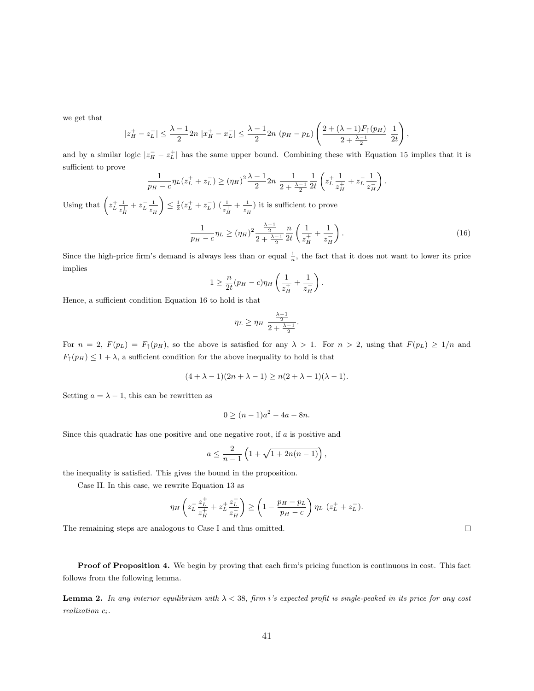we get that

$$
|z_H^+ - z_L^-| \leq \frac{\lambda - 1}{2} 2n |x_H^+ - x_L^-| \leq \frac{\lambda - 1}{2} 2n (p_H - p_L) \left( \frac{2 + (\lambda - 1) F_{\uparrow}(p_H)}{2 + \frac{\lambda - 1}{2}} \frac{1}{2t} \right),
$$

and by a similar logic  $|z_H^- - z_L^+|$  has the same upper bound. Combining these with Equation 15 implies that it is sufficient to prove

$$
\frac{1}{p_H - c} \eta_L (z_L^+ + z_L^-) \ge (\eta_H)^2 \frac{\lambda - 1}{2} 2n \frac{1}{2 + \frac{\lambda - 1}{2}} \frac{1}{2t} \left( z_L^+ \frac{1}{z_H^+} + z_L^- \frac{1}{z_H^-} \right).
$$

Using that  $\left(z_L^+\right)$  $\frac{1}{z_H^+} + z_L^- \frac{1}{z_I^-}$  $\overline{z_{H}^{-}}$  $\left(\sum_{i=1}^{n} (z_{L}^{+}+z_{L}^{-}) \left(\frac{1}{z_{H}^{+}}+\frac{1}{z_{L}^{-}}\right)\right)$  $\frac{1}{z_{H}^{-}}$ ) it is sufficient to prove

$$
\frac{1}{p_H - c} \eta_L \ge (\eta_H)^2 \frac{\frac{\lambda - 1}{2}}{2 + \frac{\lambda - 1}{2}} \frac{n}{2t} \left( \frac{1}{z_H^+} + \frac{1}{z_H^-} \right). \tag{16}
$$

Since the high-price firm's demand is always less than or equal  $\frac{1}{n}$ , the fact that it does not want to lower its price implies

$$
1 \geq \frac{n}{2t}(p_H - c)\eta_H \left(\frac{1}{z_H^+} + \frac{1}{z_H^-}\right).
$$

Hence, a sufficient condition Equation 16 to hold is that

$$
\eta_L \geq \eta_H \frac{\frac{\lambda - 1}{2}}{2 + \frac{\lambda - 1}{2}}.
$$

For  $n = 2$ ,  $F(p_L) = F_1(p_H)$ , so the above is satisfied for any  $\lambda > 1$ . For  $n > 2$ , using that  $F(p_L) \ge 1/n$  and  $F_{\uparrow}(p_H) \leq 1 + \lambda$ , a sufficient condition for the above inequality to hold is that

$$
(4 + \lambda - 1)(2n + \lambda - 1) \ge n(2 + \lambda - 1)(\lambda - 1).
$$

Setting  $a = \lambda - 1$ , this can be rewritten as

$$
0 \ge (n-1)a^2 - 4a - 8n.
$$

Since this quadratic has one positive and one negative root, if a is positive and

$$
a \leq \frac{2}{n-1} \left( 1 + \sqrt{1 + 2n(n-1)} \right)
$$

the inequality is satisfied. This gives the bound in the proposition.

Case II. In this case, we rewrite Equation 13 as

$$
\eta_H\left(z_L^{-\frac{z_L^+}{z_H^+}}+z_L^+\frac{z_L^-}{z_H^-}\right)\geq \left(1-\frac{p_H-p_L}{p_H-c}\right)\eta_L\left(z_L^++z_L^-\right).
$$

The remaining steps are analogous to Case I and thus omitted.

Proof of Proposition 4. We begin by proving that each firm's pricing function is continuous in cost. This fact follows from the following lemma.

**Lemma 2.** In any interior equilibrium with  $\lambda < 38$ , firm i's expected profit is single-peaked in its price for any cost realization  $c_i$ .

 $\Box$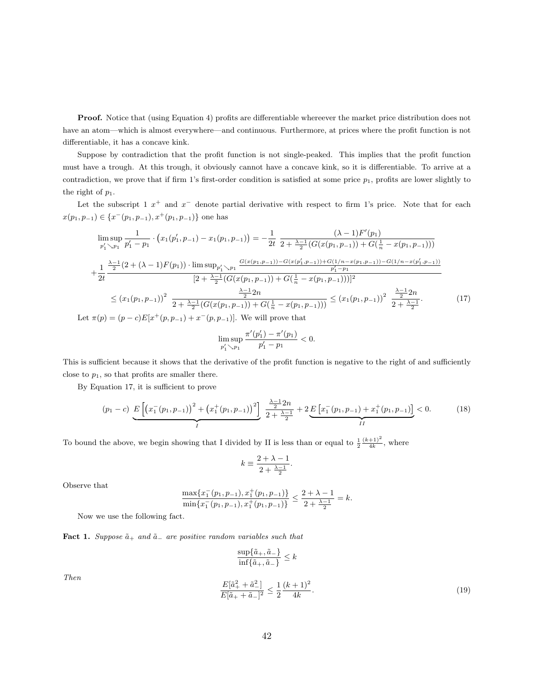**Proof.** Notice that (using Equation 4) profits are differentiable whereever the market price distribution does not have an atom—which is almost everywhere—and continuous. Furthermore, at prices where the profit function is not differentiable, it has a concave kink.

Suppose by contradiction that the profit function is not single-peaked. This implies that the profit function must have a trough. At this trough, it obviously cannot have a concave kink, so it is differentiable. To arrive at a contradiction, we prove that if firm 1's first-order condition is satisfied at some price  $p_1$ , profits are lower slightly to the right of  $p_1$ .

Let the subscript 1  $x^+$  and  $x^-$  denote partial derivative with respect to firm 1's price. Note that for each  $x(p_1, p_{-1}) \in \{x^-(p_1, p_{-1}), x^+(p_1, p_{-1})\}$  one has

$$
\limsup_{p'_1 \searrow p_1} \frac{1}{p'_1 - p_1} \cdot (x_1(p'_1, p_{-1}) - x_1(p_1, p_{-1})) = -\frac{1}{2t} \frac{(\lambda - 1)F'(p_1)}{2 + \frac{\lambda - 1}{2}(G(x(p_1, p_{-1})) + G(\frac{1}{n} - x(p_1, p_{-1})))}
$$
\n
$$
+ \frac{1}{2t} \frac{\frac{\lambda - 1}{2}(2 + (\lambda - 1)F(p_1)) \cdot \limsup_{p'_1 \searrow p_1} \frac{G(x(p_1, p_{-1})) - G(x(p'_1, p_{-1})) + G(1/n - x(p_1, p_{-1})) - G(1/n - x(p'_1, p_{-1}))}{p'_1 - p_1}
$$
\n
$$
= (x_1(p_1, p_{-1}))^2 \frac{\frac{\lambda - 1}{2}2n}{2 + \frac{\lambda - 1}{2}(G(x(p_1, p_{-1})) + G(\frac{1}{n} - x(p_1, p_{-1})))} \le (x_1(p_1, p_{-1}))^2 \frac{\frac{\lambda - 1}{2}2n}{2 + \frac{\lambda - 1}{2}}.
$$
\n
$$
\text{Let } \pi(p) = (p - c)E[x^+(p, p_{-1}) + x^-(p, p_{-1})]. \text{ We will prove that}
$$
\n(17)

Let  $\pi(p) = (p)$  $- c) E[x^-(p, p_{-1})]$ 

$$
\limsup_{p'_1\searrow p_1}\frac{\pi'(p'_1)-\pi'(p_1)}{p'_1-p_1}<0.
$$

This is sufficient because it shows that the derivative of the profit function is negative to the right of and sufficiently close to  $p_1$ , so that profits are smaller there.

By Equation 17, it is sufficient to prove

$$
(p_1 - c) \underbrace{E\left[\left(x_1^-(p_1, p_{-1})\right)^2 + \left(x_1^+(p_1, p_{-1})\right)^2\right]}_{I} \underbrace{\frac{\lambda - 1}{2} 2n}_{2 + \frac{\lambda - 1}{2}} + 2 \underbrace{E\left[x_1^-(p_1, p_{-1}) + x_1^+(p_1, p_{-1})\right]}_{II} < 0. \tag{18}
$$

To bound the above, we begin showing that I divided by II is less than or equal to  $\frac{1}{2} \frac{(k+1)^2}{4k}$ , where

$$
k \equiv \frac{2 + \lambda - 1}{2 + \frac{\lambda - 1}{2}}.
$$

Observe that

$$
\frac{\max\{x_1^-(p_1,p_{-1}),x_1^+(p_1,p_{-1})\}}{\min\{x_1^-(p_1,p_{-1}),x_1^+(p_1,p_{-1})\}} \le \frac{2+\lambda-1}{2+\frac{\lambda-1}{2}} = k.
$$

Now we use the following fact.

Fact 1. Suppose  $\tilde{a}_+$  and  $\tilde{a}_-$  are positive random variables such that

$$
\frac{\sup\{\tilde{a}_{+},\tilde{a}_{-}\}}{\inf\{\tilde{a}_{+},\tilde{a}_{-}\}} \leq k
$$

Then

$$
\frac{E[\tilde{a}_{+}^{2} + \tilde{a}_{-}^{2}]}{E[\tilde{a}_{+} + \tilde{a}_{-}]^{2}} \le \frac{1}{2} \frac{(k+1)^{2}}{4k}.
$$
\n(19)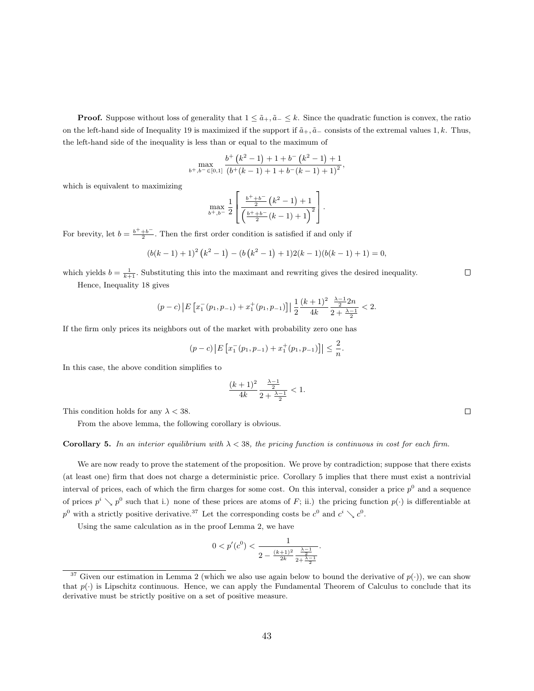**Proof.** Suppose without loss of generality that  $1 \leq \tilde{a}_+, \tilde{a}_- \leq k$ . Since the quadratic function is convex, the ratio on the left-hand side of Inequality 19 is maximized if the support if  $\tilde{a}_+$ ,  $\tilde{a}_-$  consists of the extremal values 1, k. Thus, the left-hand side of the inequality is less than or equal to the maximum of

$$
\max_{b^+,b^- \in [0,1]} \frac{b^+\left(k^2-1\right)+1+b^-\left(k^2-1\right)+1}{\left(b^+(k-1)+1+b^-\left(k-1\right)+1\right)^2},\,
$$

which is equivalent to maximizing

$$
\max_{b^+,b^-} \frac{1}{2} \left[ \frac{\frac{b^+ + b^-}{2} (k^2 - 1) + 1}{\left(\frac{b^+ + b^-}{2} (k - 1) + 1\right)^2} \right].
$$

For brevity, let  $b = \frac{b^+ + b^-}{2}$ . Then the first order condition is satisfied if and only if

$$
(b(k-1)+1)^2(k^2-1)-(b(k^2-1)+1)2(k-1)(b(k-1)+1)=0,
$$

which yields  $b = \frac{1}{k+1}$ . Substituting this into the maximant and rewriting gives the desired inequality.

Hence, Inequality 18 gives

$$
(p-c)\left|E\left[x_1^-(p_1,p_{-1})+x_1^+(p_1,p_{-1})\right]\right|\frac{1}{2}\frac{(k+1)^2}{4k}\frac{\frac{\lambda-1}{2}2n}{2+\frac{\lambda-1}{2}}<2.
$$

If the firm only prices its neighbors out of the market with probability zero one has

$$
(p-c)\left|E\left[x_1^-(p_1,p_{-1})+x_1^+(p_1,p_{-1})\right]\right|\leq \frac{2}{n}.
$$

In this case, the above condition simplifies to

$$
\frac{(k+1)^2}{4k} \frac{\frac{\lambda - 1}{2}}{2 + \frac{\lambda - 1}{2}} < 1.
$$

This condition holds for any  $\lambda < 38$ .

From the above lemma, the following corollary is obvious.

#### Corollary 5. In an interior equilibrium with  $\lambda < 38$ , the pricing function is continuous in cost for each firm.

We are now ready to prove the statement of the proposition. We prove by contradiction; suppose that there exists (at least one) firm that does not charge a deterministic price. Corollary 5 implies that there must exist a nontrivial interval of prices, each of which the firm charges for some cost. On this interval, consider a price  $p^0$  and a sequence of prices  $p^i \searrow p^0$  such that i.) none of these prices are atoms of F; ii.) the pricing function  $p(\cdot)$  is differentiable at  $p^0$  with a strictly positive derivative.<sup>37</sup> Let the corresponding costs be  $c^0$  and  $c^i \searrow c^0$ .

Using the same calculation as in the proof Lemma 2, we have

$$
0 < p'(c^0) < \frac{1}{2 - \frac{(k+1)^2}{2k} \frac{\frac{\lambda - 1}{2}}{2 + \frac{\lambda - 1}{2}}}.
$$

 $\Box$ 

 $\Box$ 

<sup>&</sup>lt;sup>37</sup> Given our estimation in Lemma 2 (which we also use again below to bound the derivative of  $p(\cdot)$ ), we can show that  $p(\cdot)$  is Lipschitz continuous. Hence, we can apply the Fundamental Theorem of Calculus to conclude that its derivative must be strictly positive on a set of positive measure.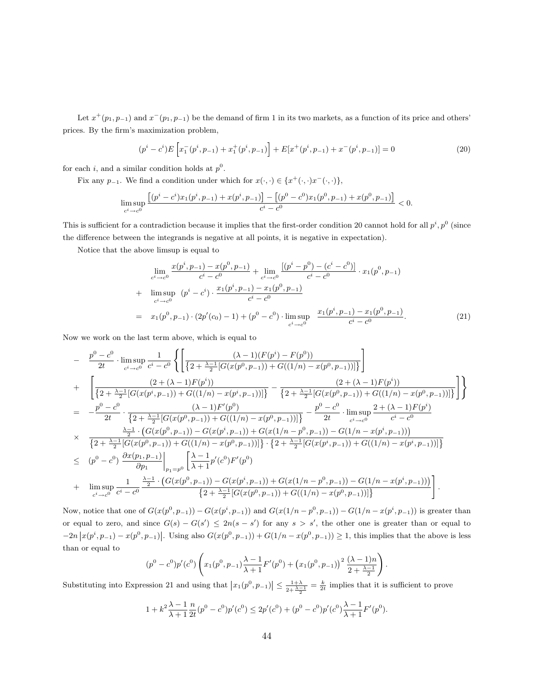Let  $x^+(p_1, p_{-1})$  and  $x^-(p_1, p_{-1})$  be the demand of firm 1 in its two markets, as a function of its price and others' prices. By the firm's maximization problem,

$$
(p^{i} - c^{i})E\left[x_{1}^{-}(p^{i}, p_{-1}) + x_{1}^{+}(p^{i}, p_{-1})\right] + E[x^{+}(p^{i}, p_{-1}) + x^{-}(p^{i}, p_{-1})] = 0
$$
\n(20)

for each i, and a similar condition holds at  $p^0$ .

Fix any  $p_{-1}$ . We find a condition under which for  $x(\cdot, \cdot) \in \{x^+(\cdot, \cdot)x^-(\cdot, \cdot)\},$ 

$$
\limsup_{c^i \to c^0} \frac{\left[ (p^i-c^i)x_1(p^i,p_{-1})+x(p^i,p_{-1}) \right] - \left[ (p^0-c^0)x_1(p^0,p_{-1})+x(p^0,p_{-1}) \right]}{c^i-c^0} < 0.
$$

This is sufficient for a contradiction because it implies that the first-order condition 20 cannot hold for all  $p^i, p^0$  (since the difference between the integrands is negative at all points, it is negative in expectation).

Notice that the above limsup is equal to

$$
\lim_{c^{i} \to c^{0}} \frac{x(p^{i}, p_{-1}) - x(p^{0}, p_{-1})}{c^{i} - c^{0}} + \lim_{c^{i} \to c^{0}} \frac{\left[(p^{i} - p^{0}) - (c^{i} - c^{0})\right]}{c^{i} - c^{0}} \cdot x_{1}(p^{0}, p_{-1}) + \lim_{c^{i} \to c^{0}} (p^{i} - c^{i}) \cdot \frac{x_{1}(p^{i}, p_{-1}) - x_{1}(p^{0}, p_{-1})}{c^{i} - c^{0}}
$$
\n
$$
= x_{1}(p^{0}, p_{-1}) \cdot (2p'(c_{0}) - 1) + (p^{0} - c^{0}) \cdot \lim_{c^{i} \to c^{0}} \frac{x_{1}(p^{i}, p_{-1}) - x_{1}(p^{0}, p_{-1})}{c^{i} - c^{0}}.
$$
\n(21)

Now we work on the last term above, which is equal to

$$
\begin{split}\n&= \frac{p^{0}-c^{0}}{2t} \cdot \limsup_{c^{i}\to c^{0}} \frac{1}{c^{i}-c^{0}} \left\{ \left[ \frac{(\lambda-1)(F(p^{i})-F(p^{0}))}{\left\{2+\frac{\lambda-1}{2}[G(x(p^{0},p_{-1}))+G((1/n)-x(p^{0},p_{-1}))]\right\}} \right] \\
&+ \left[ \frac{(2+(\lambda-1)F(p^{i}))}{\left\{2+\frac{\lambda-1}{2}[G(x(p^{i},p_{-1}))+G((1/n)-x(p^{i},p_{-1}))]\right\}} - \frac{(2+(\lambda-1)F(p^{i}))}{\left\{2+\frac{\lambda-1}{2}[G(x(p^{0},p_{-1}))+G((1/n)-x(p^{0},p_{-1}))]\right\}} \right] \right\} \\
&= -\frac{p^{0}-c^{0}}{2t} \cdot \frac{(\lambda-1)F'(p^{0})}{\left\{2+\frac{\lambda-1}{2}[G(x(p^{0},p_{-1}))+G((1/n)-x(p^{0},p_{-1}))]\right\}} - \frac{p^{0}-c^{0}}{2t} \cdot \limsup_{c^{i}\to c^{0}} \frac{2+(\lambda-1)F(p^{i})}{c^{i}-c^{0}} \\
&= \frac{\frac{\lambda-1}{2} \cdot (G(x(p^{0},p_{-1})) - G(x(p^{i},p_{-1})) + G(x(1/n-p^{0},p_{-1})) - G(1/n-x(p^{i},p_{-1})))}{\left\{2+\frac{\lambda-1}{2}[G(x(p^{0},p_{-1}))+G((1/n)-x(p^{0},p_{-1}))]\right\} \cdot \left\{2+\frac{\lambda-1}{2}[G(x(p^{i},p_{-1}))+G((1/n)-x(p^{i},p_{-1}))]\right\}} \\
&= (p^{0}-c^{0}) \frac{\partial x(p_{1},p_{-1})}{\partial p_{1}} \Big|_{p_{1}=p^{0}} \left[ \frac{\lambda-1}{\lambda+1} p'(c^{0})F'(p^{0}) \\
&+ \limsup_{c^{i}\to c^{0}} \frac{1}{c^{i}-c^{0}} \frac{\frac{\lambda-1}{2} \cdot (G(x(p^{0},p_{-1}))-G(x(p^{i},p_{-1}))+G(x(1/n-p^{0},p_{-1}))-G(1/n-x(p^{i},p_{-1})))}{\left\{2+\frac{\lambda-1}{2}[G(x(p^{0},p_{-1}
$$

Now, notice that one of  $G(x(p^0, p_{-1})) - G(x(p^i, p_{-1}))$  and  $G(x(1/n - p^0, p_{-1})) - G(1/n - x(p^i, p_{-1}))$  is greater than or equal to zero, and since  $G(s) - G(s') \leq 2n(s - s')$  for any  $s > s'$ , the other one is greater than or equal to  $-2n|x(p^i, p_{-1}) - x(p^0, p_{-1})|$ . Using also  $G(x(p^0, p_{-1})) + G(1/n - x(p^0, p_{-1})) \ge 1$ , this implies that the above is less than or equal to

$$
(p^{0}-c^{0})p'(c^{0})\left(x_{1}(p^{0},p_{-1})\frac{\lambda-1}{\lambda+1}F'(p^{0})+(x_{1}(p^{0},p_{-1}))^{2}\frac{(\lambda-1)n}{2+\frac{\lambda-1}{2}}\right).
$$

Substituting into Expression 21 and using that  $|x_1(p^0, p_{-1})| \leq \frac{1+\lambda}{2+\lambda-1} = \frac{k}{2t}$  implies that it is sufficient to prove

$$
1 + k^{2} \frac{\lambda - 1}{\lambda + 1} \frac{n}{2t} (p^{0} - c^{0}) p'(c^{0}) \le 2p'(c^{0}) + (p^{0} - c^{0}) p'(c^{0}) \frac{\lambda - 1}{\lambda + 1} F'(p^{0}).
$$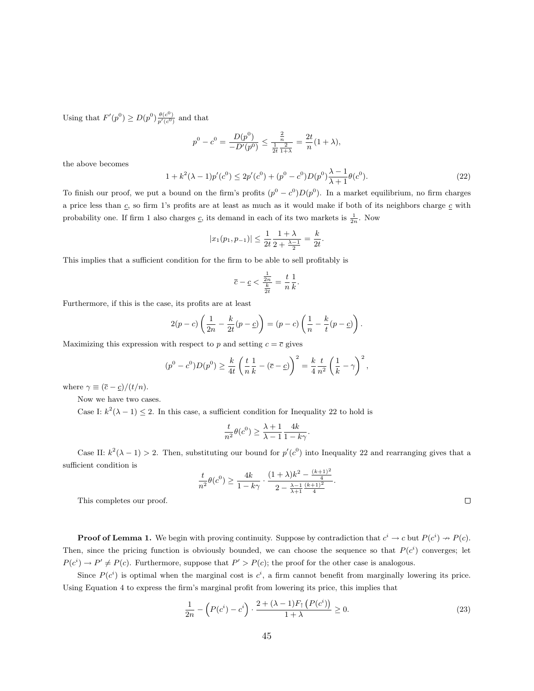Using that  $F'(p^0) \ge D(p^0) \frac{\theta(c^0)}{p'(c^0)}$  and that

$$
p^{0} - c^{0} = \frac{D(p^{0})}{-D'(p^{0})} \le \frac{\frac{2}{n}}{\frac{1}{2t} \frac{2}{1+\lambda}} = \frac{2t}{n}(1+\lambda),
$$

the above becomes

$$
1 + k2(\lambda - 1)p'(c0) \le 2p'(c0) + (p0 - c0)D(p0)\frac{\lambda - 1}{\lambda + 1}\theta(c0).
$$
 (22)

To finish our proof, we put a bound on the firm's profits  $(p^0 - c^0)D(p^0)$ . In a market equilibrium, no firm charges a price less than  $c$ , so firm 1's profits are at least as much as it would make if both of its neighbors charge  $c$  with probability one. If firm 1 also charges  $\underline{c}$ , its demand in each of its two markets is  $\frac{1}{2n}$ . Now

$$
|x_1(p_1, p_{-1})| \le \frac{1}{2t} \frac{1 + \lambda}{2 + \frac{\lambda - 1}{2}} = \frac{k}{2t}.
$$

This implies that a sufficient condition for the firm to be able to sell profitably is

$$
\overline{c} - \underline{c} < \frac{\frac{1}{2n}}{\frac{k}{2t}} = \frac{t}{n} \frac{1}{k}.
$$

Furthermore, if this is the case, its profits are at least

$$
2(p-c)\left(\frac{1}{2n}-\frac{k}{2t}(p-\underline{c})\right)=(p-c)\left(\frac{1}{n}-\frac{k}{t}(p-\underline{c})\right).
$$

Maximizing this expression with respect to p and setting  $c = \overline{c}$  gives

$$
(p^{0} - c^{0})D(p^{0}) \ge \frac{k}{4t} \left(\frac{t}{n}\frac{1}{k} - (\overline{c} - \underline{c})\right)^{2} = \frac{k}{4}\frac{t}{n^{2}} \left(\frac{1}{k} - \gamma\right)^{2},
$$

where  $\gamma \equiv (\bar{c} - \underline{c})/(t/n)$ .

Now we have two cases.

Case I:  $k^2(\lambda - 1) \leq 2$ . In this case, a sufficient condition for Inequality 22 to hold is

$$
\frac{t}{n^2}\theta(c^0) \ge \frac{\lambda+1}{\lambda-1} \frac{4k}{1-k\gamma}.
$$

Case II:  $k^2(\lambda - 1) > 2$ . Then, substituting our bound for  $p'(c^0)$  into Inequality 22 and rearranging gives that a sufficient condition is

$$
\frac{t}{n^2}\theta(c^0) \ge \frac{4k}{1-k\gamma} \cdot \frac{(1+\lambda)k^2 - \frac{(k+1)^2}{4}}{2 - \frac{\lambda-1}{\lambda+1}\frac{(k+1)^2}{4}}.
$$

This completes our proof.

**Proof of Lemma 1.** We begin with proving continuity. Suppose by contradiction that  $c^i \to c$  but  $P(c^i) \to P(c)$ . Then, since the pricing function is obviously bounded, we can choose the sequence so that  $P(c^i)$  converges; let  $P(c^i) \to P' \neq P(c)$ . Furthermore, suppose that  $P' > P(c)$ ; the proof for the other case is analogous.

Since  $P(c^i)$  is optimal when the marginal cost is  $c^i$ , a firm cannot benefit from marginally lowering its price. Using Equation 4 to express the firm's marginal profit from lowering its price, this implies that

$$
\frac{1}{2n} - \left(P(c^i) - c^i\right) \cdot \frac{2 + (\lambda - 1)F_\uparrow \left(P(c^i)\right)}{1 + \lambda} \ge 0. \tag{23}
$$

 $\Box$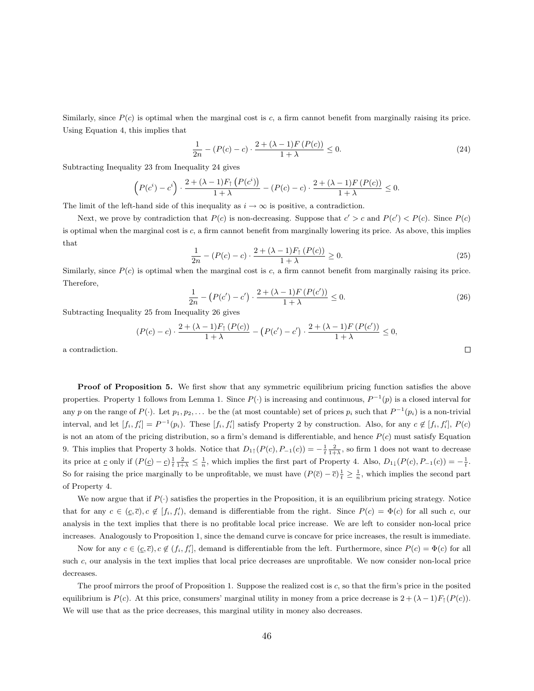Similarly, since  $P(c)$  is optimal when the marginal cost is c, a firm cannot benefit from marginally raising its price. Using Equation 4, this implies that

$$
\frac{1}{2n} - (P(c) - c) \cdot \frac{2 + (\lambda - 1)F(P(c))}{1 + \lambda} \le 0.
$$
 (24)

Subtracting Inequality 23 from Inequality 24 gives

$$
\left(P(c^{i})-c^{i}\right) \cdot \frac{2 + (\lambda - 1)F_{\uparrow} \left(P(c^{i})\right)}{1 + \lambda} - \left(P(c) - c\right) \cdot \frac{2 + (\lambda - 1)F\left(P(c)\right)}{1 + \lambda} \leq 0.
$$

The limit of the left-hand side of this inequality as  $i \to \infty$  is positive, a contradiction.

Next, we prove by contradiction that  $P(c)$  is non-decreasing. Suppose that  $c' > c$  and  $P(c') < P(c)$ . Since  $P(c)$ is optimal when the marginal cost is  $c$ , a firm cannot benefit from marginally lowering its price. As above, this implies that

$$
\frac{1}{2n} - (P(c) - c) \cdot \frac{2 + (\lambda - 1)F_{\uparrow}(P(c))}{1 + \lambda} \ge 0.
$$
\n(25)

Similarly, since  $P(c)$  is optimal when the marginal cost is c, a firm cannot benefit from marginally raising its price. Therefore,

$$
\frac{1}{2n} - (P(c') - c') \cdot \frac{2 + (\lambda - 1)F(P(c'))}{1 + \lambda} \le 0.
$$
\n(26)

Subtracting Inequality 25 from Inequality 26 gives

$$
(P(c) - c) \cdot \frac{2 + (\lambda - 1)F_{\uparrow} (P(c))}{1 + \lambda} - (P(c') - c') \cdot \frac{2 + (\lambda - 1)F (P(c'))}{1 + \lambda} \le 0,
$$

a contradiction.

Proof of Proposition 5. We first show that any symmetric equilibrium pricing function satisfies the above properties. Property 1 follows from Lemma 1. Since  $P(\cdot)$  is increasing and continuous,  $P^{-1}(p)$  is a closed interval for any p on the range of  $P(\cdot)$ . Let  $p_1, p_2, \ldots$  be the (at most countable) set of prices  $p_i$  such that  $P^{-1}(p_i)$  is a non-trivial interval, and let  $[f_i, f'_i] = P^{-1}(p_i)$ . These  $[f_i, f'_i]$  satisfy Property 2 by construction. Also, for any  $c \notin [f_i, f'_i]$ ,  $P(c)$ is not an atom of the pricing distribution, so a firm's demand is differentiable, and hence  $P(c)$  must satisfy Equation 9. This implies that Property 3 holds. Notice that  $D_{1\uparrow}(P(c), P_{-1}(c)) = -\frac{1}{t} \frac{2}{1+\lambda}$ , so firm 1 does not want to decrease its price at  $\underline{c}$  only if  $(P(\underline{c}) - \underline{c}) \frac{1}{t} \frac{2}{1+\lambda} \leq \frac{1}{n}$ , which implies the first part of Property 4. Also,  $D_{1\downarrow}(P(c), P_{-1}(c)) = -\frac{1}{t}$ . So for raising the price marginally to be unprofitable, we must have  $(P(\bar{c}) - \bar{c})\frac{1}{t} \geq \frac{1}{n}$ , which implies the second part of Property 4.

We now argue that if  $P(\cdot)$  satisfies the properties in the Proposition, it is an equilibrium pricing strategy. Notice that for any  $c \in (\underline{c}, \overline{c}), c \notin [f_i, f'_i)$ , demand is differentiable from the right. Since  $P(c) = \Phi(c)$  for all such c, our analysis in the text implies that there is no profitable local price increase. We are left to consider non-local price increases. Analogously to Proposition 1, since the demand curve is concave for price increases, the result is immediate.

Now for any  $c \in (\underline{c}, \overline{c})$ ,  $c \notin (f_i, f'_i]$ , demand is differentiable from the left. Furthermore, since  $P(c) = \Phi(c)$  for all such c, our analysis in the text implies that local price decreases are unprofitable. We now consider non-local price decreases.

The proof mirrors the proof of Proposition 1. Suppose the realized cost is c, so that the firm's price in the posited equilibrium is  $P(c)$ . At this price, consumers' marginal utility in money from a price decrease is  $2 + (\lambda - 1)F_{\uparrow}(P(c))$ . We will use that as the price decreases, this marginal utility in money also decreases.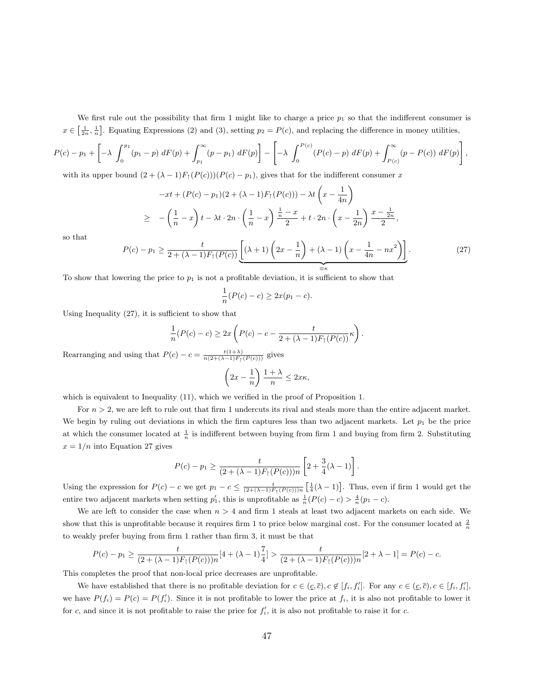We first rule out the possibility that firm 1 might like to charge a price  $p_1$  so that the indifferent consumer is  $x \in \left[\frac{1}{2n}, \frac{1}{n}\right]$ . Equating Expressions (2) and (3), setting  $p_2 = P(c)$ , and replacing the difference in money utilities,

$$
P(c) - p_1 + \left[ -\lambda \int_0^{p_1} (p_1 - p) dF(p) + \int_{p_1}^{\infty} (p - p_1) dF(p) \right] - \left[ -\lambda \int_0^{P(c)} (P(c) - p) dF(p) + \int_{P(c)}^{\infty} (p - P(c)) dF(p) \right],
$$

with its upper bound  $(2 + (\lambda - 1)F_{\uparrow}(P(c)))(P(c) - p_1)$ , gives that for the indifferent consumer x

$$
-xt + (P(c) - p_1)(2 + (\lambda - 1)F_1(P(c))) - \lambda t \left(x - \frac{1}{4n}\right)
$$
  
\n
$$
\geq -\left(\frac{1}{n} - x\right)t - \lambda t \cdot 2n \cdot \left(\frac{1}{n} - x\right) \frac{\frac{1}{n} - x}{2} + t \cdot 2n \cdot \left(x - \frac{1}{2n}\right) \frac{x - \frac{1}{2n}}{2},
$$

so that

$$
P(c) - p_1 \ge \frac{t}{2 + (\lambda - 1)F_\uparrow(P(c))} \underbrace{\left[ (\lambda + 1) \left( 2x - \frac{1}{n} \right) + (\lambda - 1) \left( x - \frac{1}{4n} - nx^2 \right) \right]}_{\equiv \kappa} . \tag{27}
$$

To show that lowering the price to  $p_1$  is not a profitable deviation, it is sufficient to show that

$$
\frac{1}{n}(P(c) - c) \ge 2x(p_1 - c).
$$

Using Inequality (27), it is sufficient to show that

$$
\frac{1}{n}(P(c) - c) \ge 2x \left( P(c) - c - \frac{t}{2 + (\lambda - 1)F_{\uparrow}(P(c))} \kappa \right).
$$

Rearranging and using that  $P(c) - c = \frac{t(1+\lambda)}{n(2+(\lambda-1)F_{\uparrow}(P(c)))}$  gives

$$
\left(2x - \frac{1}{n}\right) \frac{1+\lambda}{n} \le 2x\kappa,
$$

which is equivalent to Inequality (11), which we verified in the proof of Proposition 1.

For  $n > 2$ , we are left to rule out that firm 1 undercuts its rival and steals more than the entire adjacent market. We begin by ruling out deviations in which the firm captures less than two adjacent markets. Let  $p_1$  be the price at which the consumer located at  $\frac{1}{n}$  is indifferent between buying from firm 1 and buying from firm 2. Substituting  $x = 1/n$  into Equation 27 gives

$$
P(c) - p_1 \ge \frac{t}{(2 + (\lambda - 1)F_{\uparrow}(P(c)))n} \left[ 2 + \frac{3}{4}(\lambda - 1) \right].
$$

Using the expression for  $P(c) - c$  we get  $p_1 - c \leq \frac{t}{(2+(\lambda-1)F_{\uparrow}(P(c)))n} \left[\frac{1}{4}(\lambda-1)\right]$ . Thus, even if firm 1 would get the entire two adjacent markets when setting  $p'_1$ , this is unprofitable as  $\frac{1}{n}(P(c) - c) > \frac{4}{n}(p_1 - c)$ .

We are left to consider the case when  $n > 4$  and firm 1 steals at least two adjacent markets on each side. We show that this is unprofitable because it requires firm 1 to price below marginal cost. For the consumer located at  $\frac{2}{n}$ to weakly prefer buying from firm 1 rather than firm 3, it must be that

$$
P(c) - p_1 \ge \frac{t}{(2 + (\lambda - 1)F_\uparrow(P(c)))n} [4 + (\lambda - 1)\frac{7}{4}] > \frac{t}{(2 + (\lambda - 1)F_\uparrow(P(c)))n} [2 + \lambda - 1] = P(c) - c.
$$

This completes the proof that non-local price decreases are unprofitable.

We have established that there is no profitable deviation for  $c \in (c, \overline{c}), c \notin [f_i, f'_i]$ . For any  $c \in (c, \overline{c}), c \in [f_i, f'_i]$ , we have  $P(f_i) = P(c) = P(f'_i)$ . Since it is not profitable to lower the price at  $f_i$ , it is also not profitable to lower it for c, and since it is not profitable to raise the price for  $f_i'$ , it is also not profitable to raise it for c.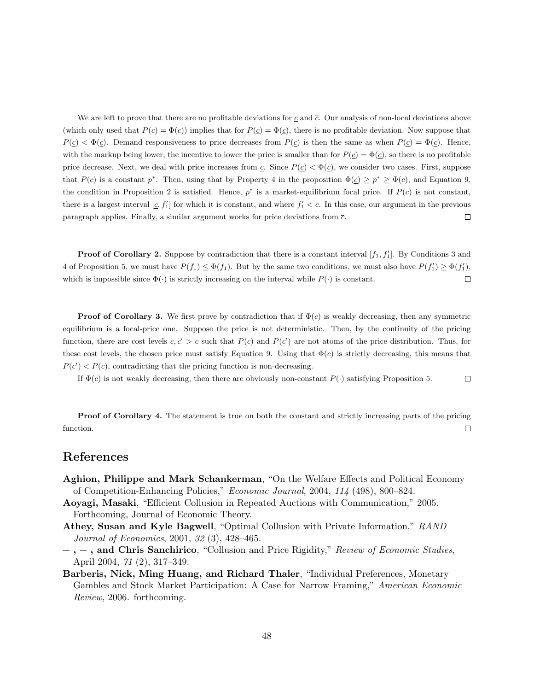We are left to prove that there are no profitable deviations for  $c$  and  $\bar{c}$ . Our analysis of non-local deviations above (which only used that  $P(c) = \Phi(c)$ ) implies that for  $P(c) = \Phi(c)$ , there is no profitable deviation. Now suppose that  $P(\underline{c}) < \Phi(\underline{c})$ . Demand responsiveness to price decreases from  $P(\underline{c})$  is then the same as when  $P(\underline{c}) = \Phi(\underline{c})$ . Hence, with the markup being lower, the incentive to lower the price is smaller than for  $P(c) = \Phi(c)$ , so there is no profitable price decrease. Next, we deal with price increases from c. Since  $P(\underline{c}) < \Phi(\underline{c})$ , we consider two cases. First, suppose that  $P(c)$  is a constant  $p^*$ . Then, using that by Property 4 in the proposition  $\Phi(c) \geq p^* \geq \Phi(\bar{c})$ , and Equation 9, the condition in Proposition 2 is satisfied. Hence,  $p^*$  is a market-equilibrium focal price. If  $P(c)$  is not constant, there is a largest interval  $[c, f_1']$  for which it is constant, and where  $f_1' < \overline{c}$ . In this case, our argument in the previous paragraph applies. Finally, a similar argument works for price deviations from  $\bar{c}$ .  $\Box$ 

**Proof of Corollary 2.** Suppose by contradiction that there is a constant interval  $[f_1, f'_1]$ . By Conditions 3 and 4 of Proposition 5, we must have  $P(f_1) \leq \Phi(f_1)$ . But by the same two conditions, we must also have  $P(f'_1) \geq \Phi(f'_1)$ , which is impossible since  $\Phi(\cdot)$  is strictly increasing on the interval while  $P(\cdot)$  is constant.  $\Box$ 

**Proof of Corollary 3.** We first prove by contradiction that if  $\Phi(c)$  is weakly decreasing, then any symmetric equilibrium is a focal-price one. Suppose the price is not deterministic. Then, by the continuity of the pricing function, there are cost levels  $c, c' > c$  such that  $P(c)$  and  $P(c')$  are not atoms of the price distribution. Thus, for these cost levels, the chosen price must satisfy Equation 9. Using that  $\Phi(c)$  is strictly decreasing, this means that  $P(c') < P(c)$ , contradicting that the pricing function is non-decreasing.

 $\Box$ If  $\Phi(c)$  is not weakly decreasing, then there are obviously non-constant  $P(\cdot)$  satisfying Proposition 5.

Proof of Corollary 4. The statement is true on both the constant and strictly increasing parts of the pricing function.  $\Box$ 

#### References

- Aghion, Philippe and Mark Schankerman, "On the Welfare Effects and Political Economy of Competition-Enhancing Policies," Economic Journal, 2004, 114 (498), 800–824.
- Aoyagi, Masaki, "Efficient Collusion in Repeated Auctions with Communication," 2005. Forthcoming, Journal of Economic Theory.
- Athey, Susan and Kyle Bagwell, "Optimal Collusion with Private Information," RAND Journal of Economics, 2001, 32 (3), 428–465.
- $-$ ,  $-$ , and Chris Sanchirico, "Collusion and Price Rigidity," Review of Economic Studies, April 2004, 71 (2), 317–349.
- Barberis, Nick, Ming Huang, and Richard Thaler, "Individual Preferences, Monetary Gambles and Stock Market Participation: A Case for Narrow Framing," American Economic Review, 2006. forthcoming.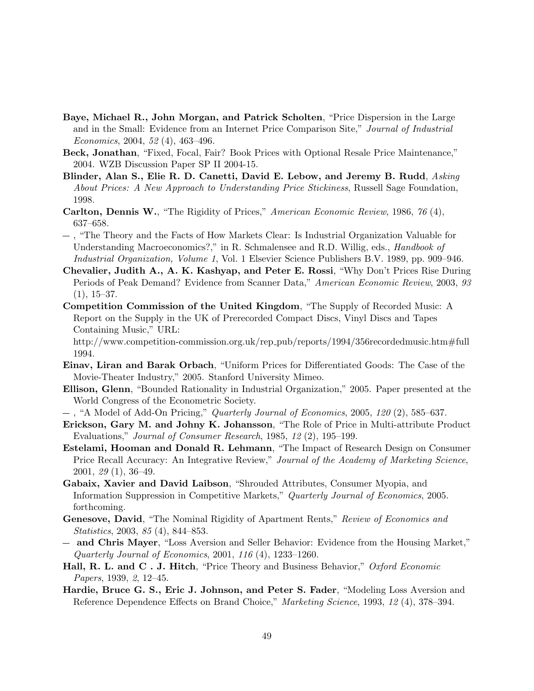- Baye, Michael R., John Morgan, and Patrick Scholten, "Price Dispersion in the Large and in the Small: Evidence from an Internet Price Comparison Site," Journal of Industrial Economics, 2004, 52 (4), 463–496.
- Beck, Jonathan, "Fixed, Focal, Fair? Book Prices with Optional Resale Price Maintenance," 2004. WZB Discussion Paper SP II 2004-15.
- Blinder, Alan S., Elie R. D. Canetti, David E. Lebow, and Jeremy B. Rudd, *Asking* About Prices: A New Approach to Understanding Price Stickiness, Russell Sage Foundation, 1998.
- Carlton, Dennis W., "The Rigidity of Prices," American Economic Review, 1986, 76 (4), 637–658.
- , "The Theory and the Facts of How Markets Clear: Is Industrial Organization Valuable for Understanding Macroeconomics?," in R. Schmalensee and R.D. Willig, eds., *Handbook of* Industrial Organization, Volume 1, Vol. 1 Elsevier Science Publishers B.V. 1989, pp. 909–946.
- Chevalier, Judith A., A. K. Kashyap, and Peter E. Rossi, "Why Don't Prices Rise During Periods of Peak Demand? Evidence from Scanner Data," American Economic Review, 2003, 93  $(1), 15-37.$
- Competition Commission of the United Kingdom, "The Supply of Recorded Music: A Report on the Supply in the UK of Prerecorded Compact Discs, Vinyl Discs and Tapes Containing Music," URL:

http://www.competition-commission.org.uk/rep pub/reports/1994/356recordedmusic.htm#full 1994.

- Einav, Liran and Barak Orbach, "Uniform Prices for Differentiated Goods: The Case of the Movie-Theater Industry," 2005. Stanford University Mimeo.
- Ellison, Glenn, "Bounded Rationality in Industrial Organization," 2005. Paper presented at the World Congress of the Econometric Society.
- $-$ , "A Model of Add-On Pricing," Quarterly Journal of Economics, 2005, 120 (2), 585–637.
- Erickson, Gary M. and Johny K. Johansson, "The Role of Price in Multi-attribute Product Evaluations," Journal of Consumer Research, 1985, 12 (2), 195–199.
- Estelami, Hooman and Donald R. Lehmann, "The Impact of Research Design on Consumer Price Recall Accuracy: An Integrative Review," Journal of the Academy of Marketing Science, 2001, 29 (1), 36–49.
- Gabaix, Xavier and David Laibson, "Shrouded Attributes, Consumer Myopia, and Information Suppression in Competitive Markets," Quarterly Journal of Economics, 2005. forthcoming.
- Genesove, David, "The Nominal Rigidity of Apartment Rents," Review of Economics and Statistics, 2003, 85 (4), 844–853.
- and Chris Mayer, "Loss Aversion and Seller Behavior: Evidence from the Housing Market," Quarterly Journal of Economics, 2001, 116 (4), 1233–1260.
- Hall, R. L. and C. J. Hitch, "Price Theory and Business Behavior," Oxford Economic Papers, 1939, 2, 12–45.
- Hardie, Bruce G. S., Eric J. Johnson, and Peter S. Fader, "Modeling Loss Aversion and Reference Dependence Effects on Brand Choice," Marketing Science, 1993, 12 (4), 378–394.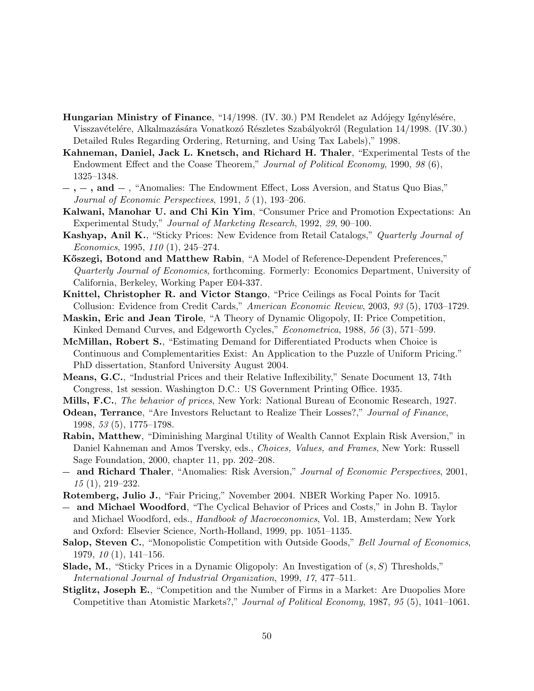- **Hungarian Ministry of Finance,** "14/1998. (IV. 30.) PM Rendelet az Adójegy Igénylésére, Visszavételére, Alkalmazására Vonatkozó Részletes Szabályokról (Regulation 14/1998. (IV.30.) Detailed Rules Regarding Ordering, Returning, and Using Tax Labels)," 1998.
- Kahneman, Daniel, Jack L. Knetsch, and Richard H. Thaler, "Experimental Tests of the Endowment Effect and the Coase Theorem," Journal of Political Economy, 1990, 98 (6), 1325–1348.
- $-$ ,  $-$ , and  $-$ , "Anomalies: The Endowment Effect, Loss Aversion, and Status Quo Bias," Journal of Economic Perspectives, 1991, 5 (1), 193–206.
- Kalwani, Manohar U. and Chi Kin Yim, "Consumer Price and Promotion Expectations: An Experimental Study," Journal of Marketing Research, 1992, 29, 90–100.
- Kashyap, Anil K., "Sticky Prices: New Evidence from Retail Catalogs," Quarterly Journal of Economics, 1995, 110 (1), 245–274.
- Kőszegi, Botond and Matthew Rabin, "A Model of Reference-Dependent Preferences," Quarterly Journal of Economics, forthcoming. Formerly: Economics Department, University of California, Berkeley, Working Paper E04-337.
- Knittel, Christopher R. and Victor Stango, "Price Ceilings as Focal Points for Tacit Collusion: Evidence from Credit Cards," American Economic Review, 2003, 93 (5), 1703–1729.
- Maskin, Eric and Jean Tirole, "A Theory of Dynamic Oligopoly, II: Price Competition, Kinked Demand Curves, and Edgeworth Cycles," *Econometrica*, 1988, 56 (3), 571–599.
- McMillan, Robert S., "Estimating Demand for Differentiated Products when Choice is Continuous and Complementarities Exist: An Application to the Puzzle of Uniform Pricing." PhD dissertation, Stanford University August 2004.
- Means, G.C., "Industrial Prices and their Relative Inflexibility," Senate Document 13, 74th Congress, 1st session. Washington D.C.: US Government Printing Office. 1935.
- Mills, F.C., The behavior of prices, New York: National Bureau of Economic Research, 1927.
- Odean, Terrance, "Are Investors Reluctant to Realize Their Losses?," Journal of Finance, 1998, 53 (5), 1775–1798.
- Rabin, Matthew, "Diminishing Marginal Utility of Wealth Cannot Explain Risk Aversion," in Daniel Kahneman and Amos Tversky, eds., Choices, Values, and Frames, New York: Russell Sage Foundation, 2000, chapter 11, pp. 202–208.
- and Richard Thaler, "Anomalies: Risk Aversion," Journal of Economic Perspectives, 2001, 15 (1), 219–232.
- Rotemberg, Julio J., "Fair Pricing," November 2004. NBER Working Paper No. 10915.
- and Michael Woodford, "The Cyclical Behavior of Prices and Costs," in John B. Taylor and Michael Woodford, eds., Handbook of Macroeconomics, Vol. 1B, Amsterdam; New York and Oxford: Elsevier Science, North-Holland, 1999, pp. 1051–1135.
- Salop, Steven C., "Monopolistic Competition with Outside Goods," Bell Journal of Economics, 1979, 10 (1), 141–156.
- **Slade, M.**, "Sticky Prices in a Dynamic Oligopoly: An Investigation of  $(s, S)$  Thresholds," International Journal of Industrial Organization, 1999, 17, 477–511.
- Stiglitz, Joseph E., "Competition and the Number of Firms in a Market: Are Duopolies More Competitive than Atomistic Markets?," Journal of Political Economy, 1987, 95 (5), 1041–1061.